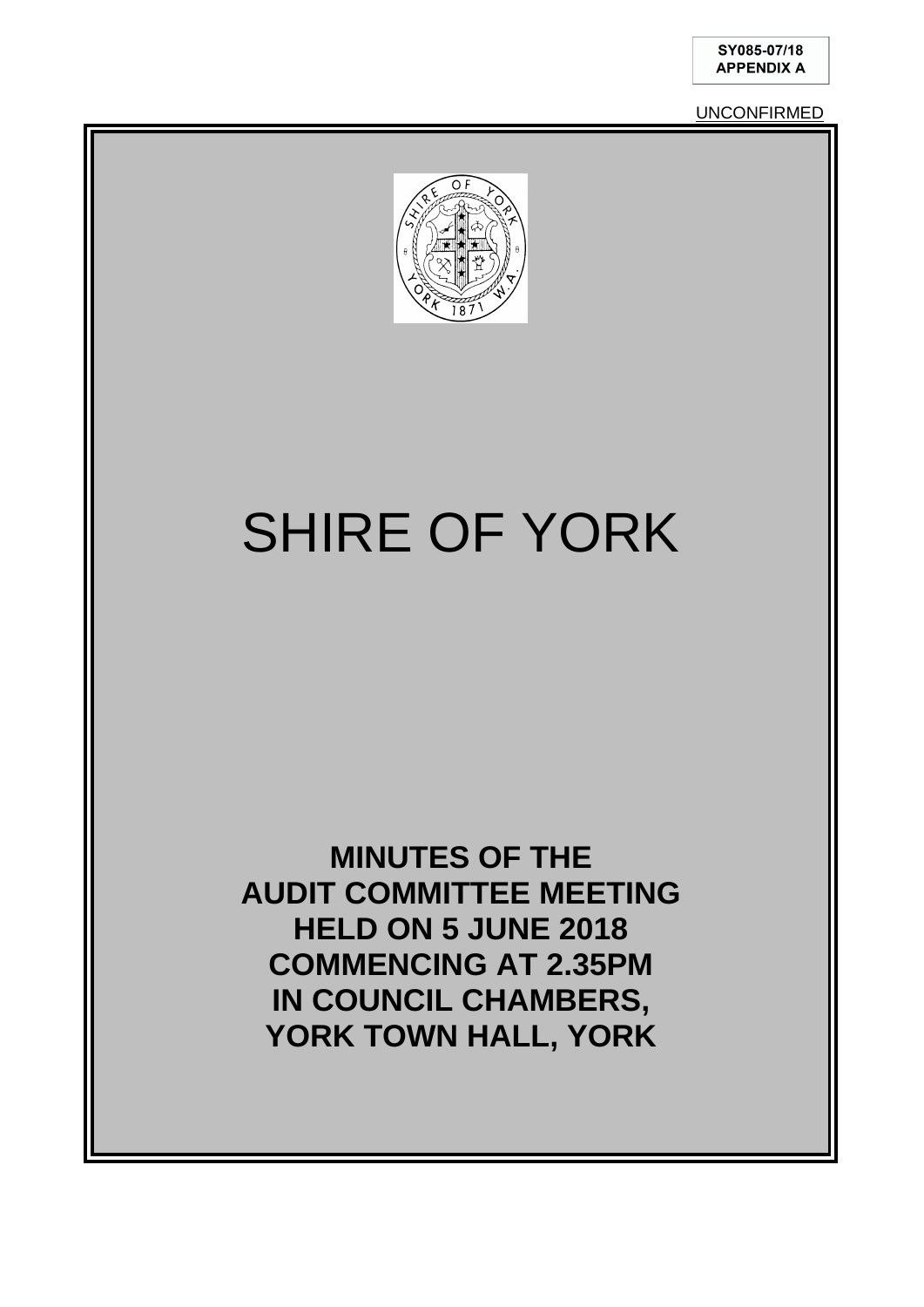UNCONFIRMED



# SHIRE OF YORK

**MINUTES OF THE AUDIT COMMITTEE MEETING HELD ON 5 JUNE 2018 COMMENCING AT 2.35PM IN COUNCIL CHAMBERS, YORK TOWN HALL, YORK**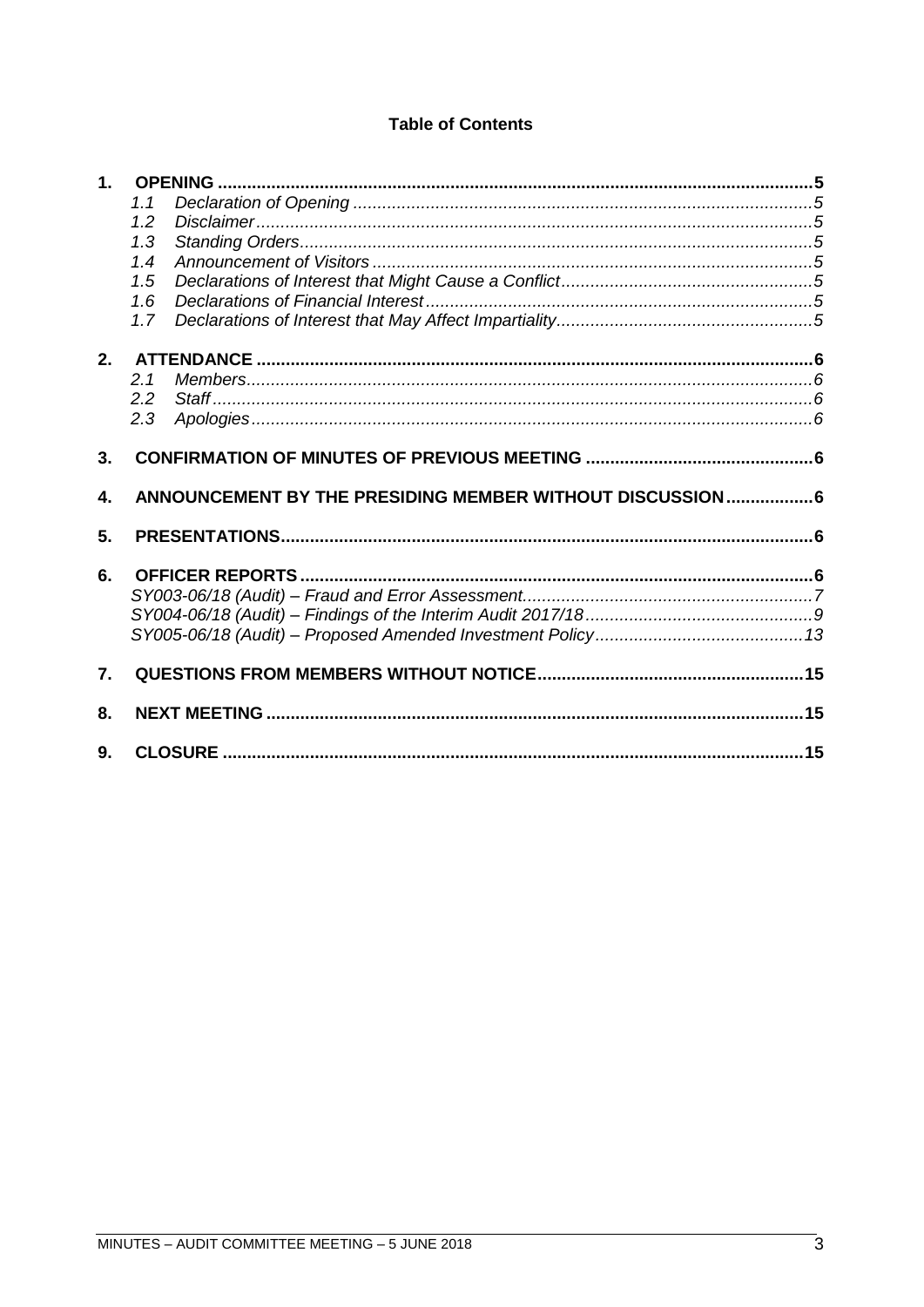### **Table of Contents**

| 1.               |     |                                                            |  |
|------------------|-----|------------------------------------------------------------|--|
|                  | 1.1 |                                                            |  |
|                  | 1.2 |                                                            |  |
|                  | 1.3 |                                                            |  |
|                  | 1.4 |                                                            |  |
|                  | 1.5 |                                                            |  |
|                  | 1.6 |                                                            |  |
|                  | 1.7 |                                                            |  |
| $2-$             |     |                                                            |  |
|                  | 2.1 |                                                            |  |
|                  | 2.2 |                                                            |  |
|                  | 2.3 |                                                            |  |
| 3.               |     |                                                            |  |
|                  |     |                                                            |  |
| 4.               |     | ANNOUNCEMENT BY THE PRESIDING MEMBER WITHOUT DISCUSSION  6 |  |
| 5.               |     |                                                            |  |
|                  |     |                                                            |  |
| 6.               |     |                                                            |  |
|                  |     |                                                            |  |
|                  |     |                                                            |  |
| $\overline{7}$ . |     |                                                            |  |
| 8.               |     |                                                            |  |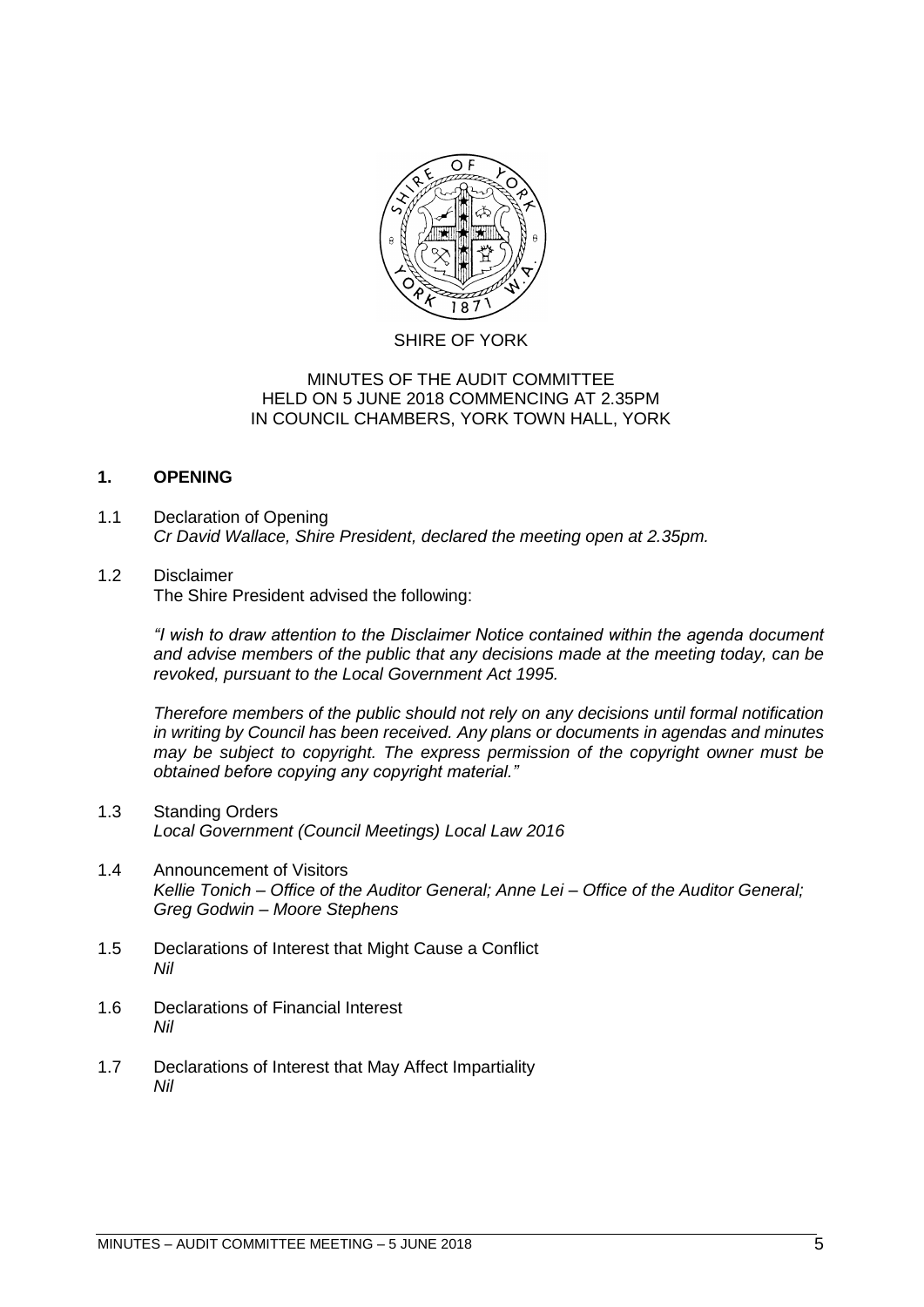

#### SHIRE OF YORK

#### MINUTES OF THE AUDIT COMMITTEE HELD ON 5 JUNE 2018 COMMENCING AT 2.35PM IN COUNCIL CHAMBERS, YORK TOWN HALL, YORK

#### <span id="page-4-0"></span>**1. OPENING**

<span id="page-4-1"></span>1.1 Declaration of Opening *Cr David Wallace, Shire President, declared the meeting open at 2.35pm.*

#### <span id="page-4-2"></span>1.2 Disclaimer

The Shire President advised the following:

*"I wish to draw attention to the Disclaimer Notice contained within the agenda document and advise members of the public that any decisions made at the meeting today, can be revoked, pursuant to the Local Government Act 1995.* 

*Therefore members of the public should not rely on any decisions until formal notification in writing by Council has been received. Any plans or documents in agendas and minutes may be subject to copyright. The express permission of the copyright owner must be obtained before copying any copyright material."*

- <span id="page-4-3"></span>1.3 Standing Orders *Local Government (Council Meetings) Local Law 2016*
- <span id="page-4-4"></span>1.4 Announcement of Visitors *Kellie Tonich – Office of the Auditor General; Anne Lei – Office of the Auditor General; Greg Godwin – Moore Stephens*
- <span id="page-4-5"></span>1.5 Declarations of Interest that Might Cause a Conflict *Nil*
- <span id="page-4-6"></span>1.6 Declarations of Financial Interest *Nil*
- <span id="page-4-7"></span>1.7 Declarations of Interest that May Affect Impartiality *Nil*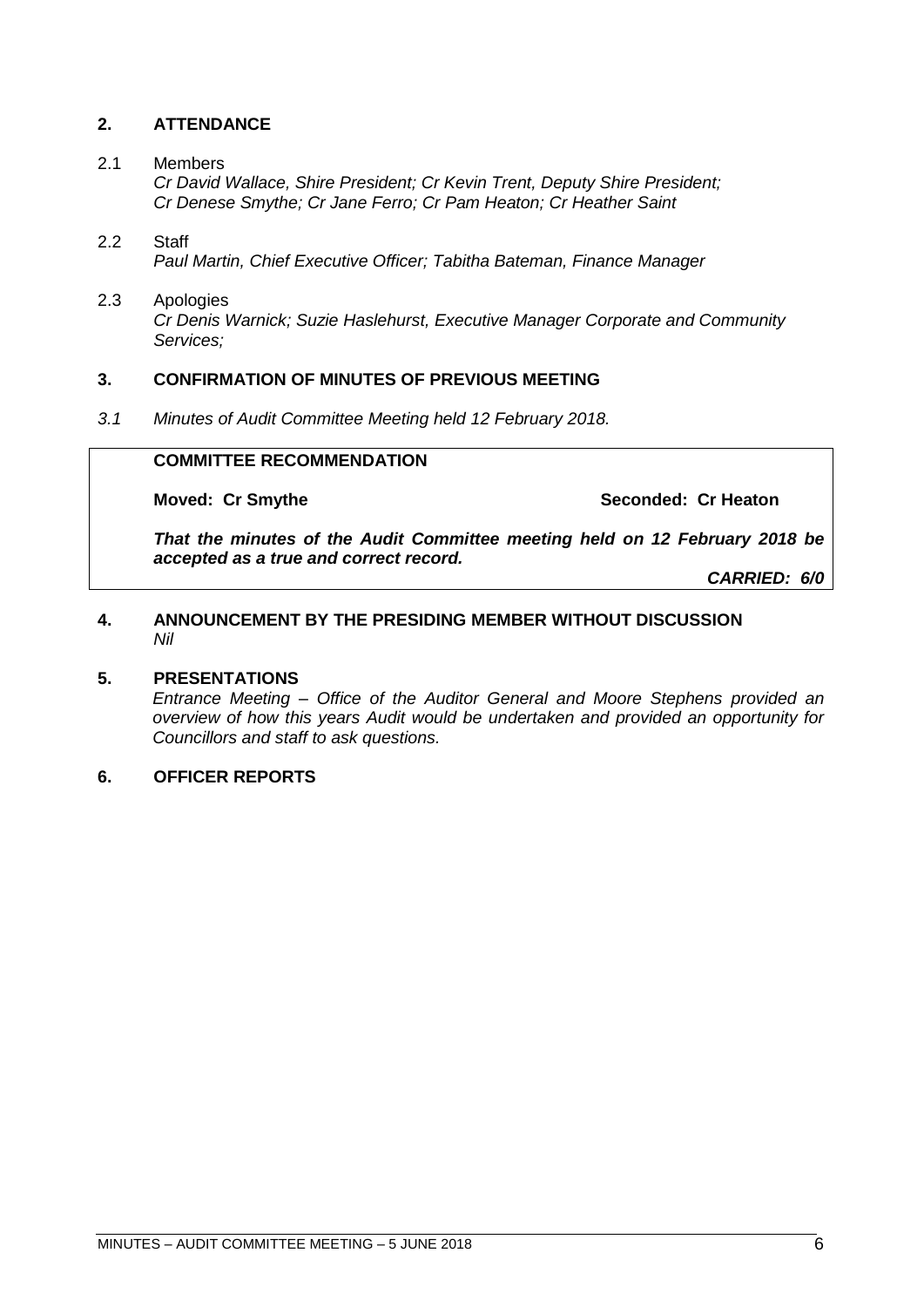### <span id="page-5-0"></span>**2. ATTENDANCE**

#### <span id="page-5-1"></span>2.1 Members

*Cr David Wallace, Shire President; Cr Kevin Trent, Deputy Shire President; Cr Denese Smythe; Cr Jane Ferro; Cr Pam Heaton; Cr Heather Saint*

#### <span id="page-5-2"></span>2.2 Staff *Paul Martin, Chief Executive Officer; Tabitha Bateman, Finance Manager*

#### <span id="page-5-3"></span>2.3 Apologies *Cr Denis Warnick; Suzie Haslehurst, Executive Manager Corporate and Community Services;*

#### <span id="page-5-4"></span>**3. CONFIRMATION OF MINUTES OF PREVIOUS MEETING**

*3.1 Minutes of Audit Committee Meeting held 12 February 2018.*

#### **COMMITTEE RECOMMENDATION**

**Moved: Cr Smythe Seconded: Cr Heaton** 

*That the minutes of the Audit Committee meeting held on 12 February 2018 be accepted as a true and correct record.*

*CARRIED: 6/0*

#### <span id="page-5-5"></span>**4. ANNOUNCEMENT BY THE PRESIDING MEMBER WITHOUT DISCUSSION** *Nil*

#### <span id="page-5-6"></span>**5. PRESENTATIONS**

*Entrance Meeting – Office of the Auditor General and Moore Stephens provided an overview of how this years Audit would be undertaken and provided an opportunity for Councillors and staff to ask questions.*

#### <span id="page-5-7"></span>**6. OFFICER REPORTS**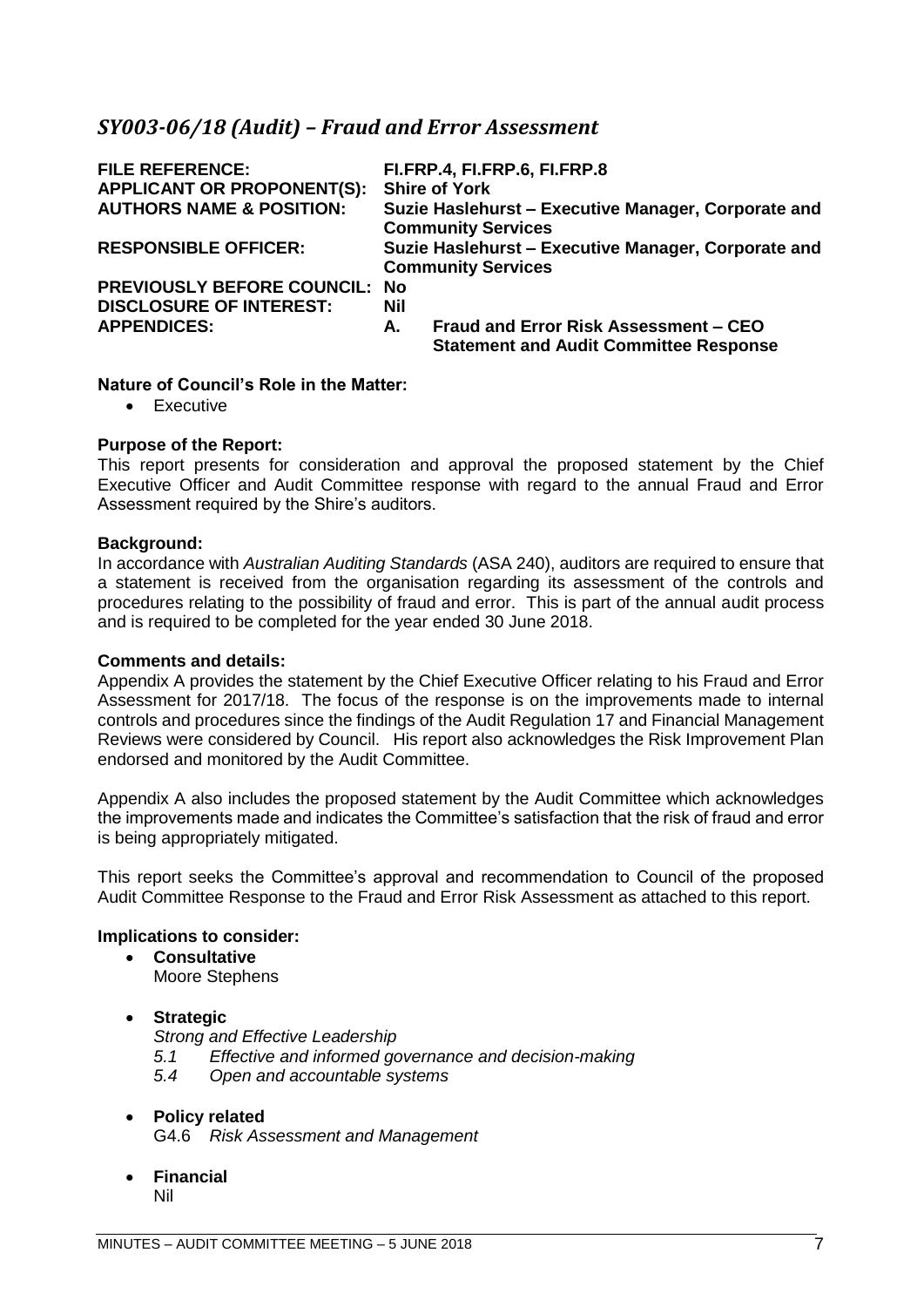### <span id="page-6-0"></span>*SY003-06/18 (Audit) – Fraud and Error Assessment*

| <b>FILE REFERENCE:</b><br><b>APPLICANT OR PROPONENT(S):</b> |            | FI.FRP.4, FI.FRP.6, FI.FRP.8<br><b>Shire of York</b>                                   |
|-------------------------------------------------------------|------------|----------------------------------------------------------------------------------------|
| <b>AUTHORS NAME &amp; POSITION:</b>                         |            | Suzie Haslehurst - Executive Manager, Corporate and                                    |
|                                                             |            | <b>Community Services</b>                                                              |
| <b>RESPONSIBLE OFFICER:</b>                                 |            | Suzie Haslehurst - Executive Manager, Corporate and                                    |
|                                                             |            | <b>Community Services</b>                                                              |
| <b>PREVIOUSLY BEFORE COUNCIL: No</b>                        |            |                                                                                        |
| <b>DISCLOSURE OF INTEREST:</b>                              | <b>Nil</b> |                                                                                        |
| <b>APPENDICES:</b>                                          | А.         | Fraud and Error Risk Assessment - CEO<br><b>Statement and Audit Committee Response</b> |

#### **Nature of Council's Role in the Matter:**

• Executive

#### **Purpose of the Report:**

This report presents for consideration and approval the proposed statement by the Chief Executive Officer and Audit Committee response with regard to the annual Fraud and Error Assessment required by the Shire's auditors.

#### **Background:**

In accordance with *Australian Auditing Standards* (ASA 240), auditors are required to ensure that a statement is received from the organisation regarding its assessment of the controls and procedures relating to the possibility of fraud and error. This is part of the annual audit process and is required to be completed for the year ended 30 June 2018.

#### **Comments and details:**

Appendix A provides the statement by the Chief Executive Officer relating to his Fraud and Error Assessment for 2017/18. The focus of the response is on the improvements made to internal controls and procedures since the findings of the Audit Regulation 17 and Financial Management Reviews were considered by Council. His report also acknowledges the Risk Improvement Plan endorsed and monitored by the Audit Committee.

Appendix A also includes the proposed statement by the Audit Committee which acknowledges the improvements made and indicates the Committee's satisfaction that the risk of fraud and error is being appropriately mitigated.

This report seeks the Committee's approval and recommendation to Council of the proposed Audit Committee Response to the Fraud and Error Risk Assessment as attached to this report.

#### **Implications to consider:**

• **Consultative** Moore Stephens

#### • **Strategic**

- *Strong and Effective Leadership 5.1 Effective and informed governance and decision-making 5.4 Open and accountable systems*
- **Policy related** G4.6 *Risk Assessment and Management*
- **Financial** Nil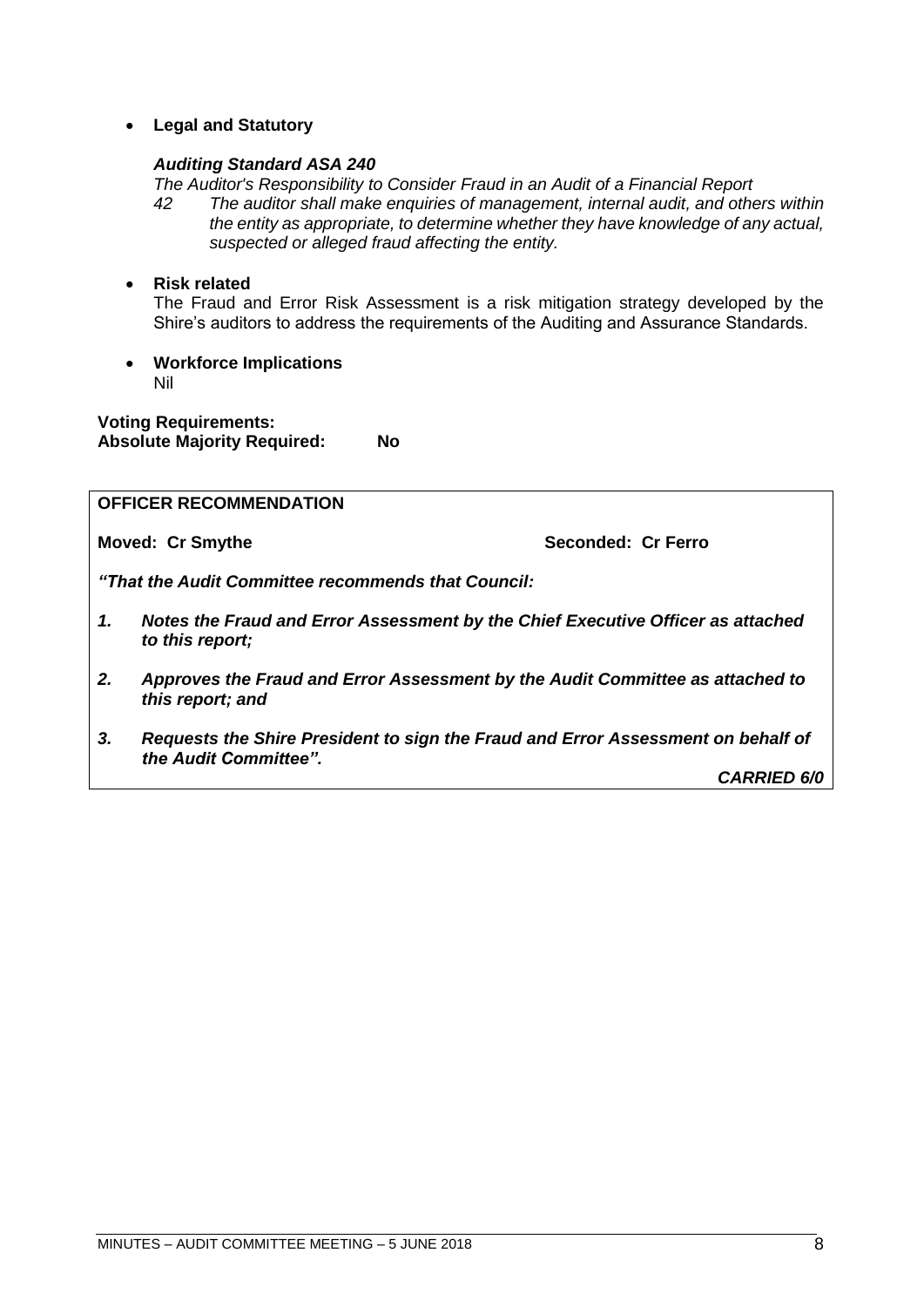• **Legal and Statutory**

#### *Auditing Standard ASA 240*

*The Auditor's Responsibility to Consider Fraud in an Audit of a Financial Report*

*42 The auditor shall make enquiries of management, internal audit, and others within the entity as appropriate, to determine whether they have knowledge of any actual, suspected or alleged fraud affecting the entity.*

#### • **Risk related**

The Fraud and Error Risk Assessment is a risk mitigation strategy developed by the Shire's auditors to address the requirements of the Auditing and Assurance Standards.

• **Workforce Implications** Nil

**Voting Requirements: Absolute Majority Required: No**

#### **OFFICER RECOMMENDATION**

**Moved: Cr Smythe Seconded: Cr Ferro** 

*"That the Audit Committee recommends that Council:*

- *1. Notes the Fraud and Error Assessment by the Chief Executive Officer as attached to this report;*
- *2. Approves the Fraud and Error Assessment by the Audit Committee as attached to this report; and*
- *3. Requests the Shire President to sign the Fraud and Error Assessment on behalf of the Audit Committee".*

*CARRIED 6/0*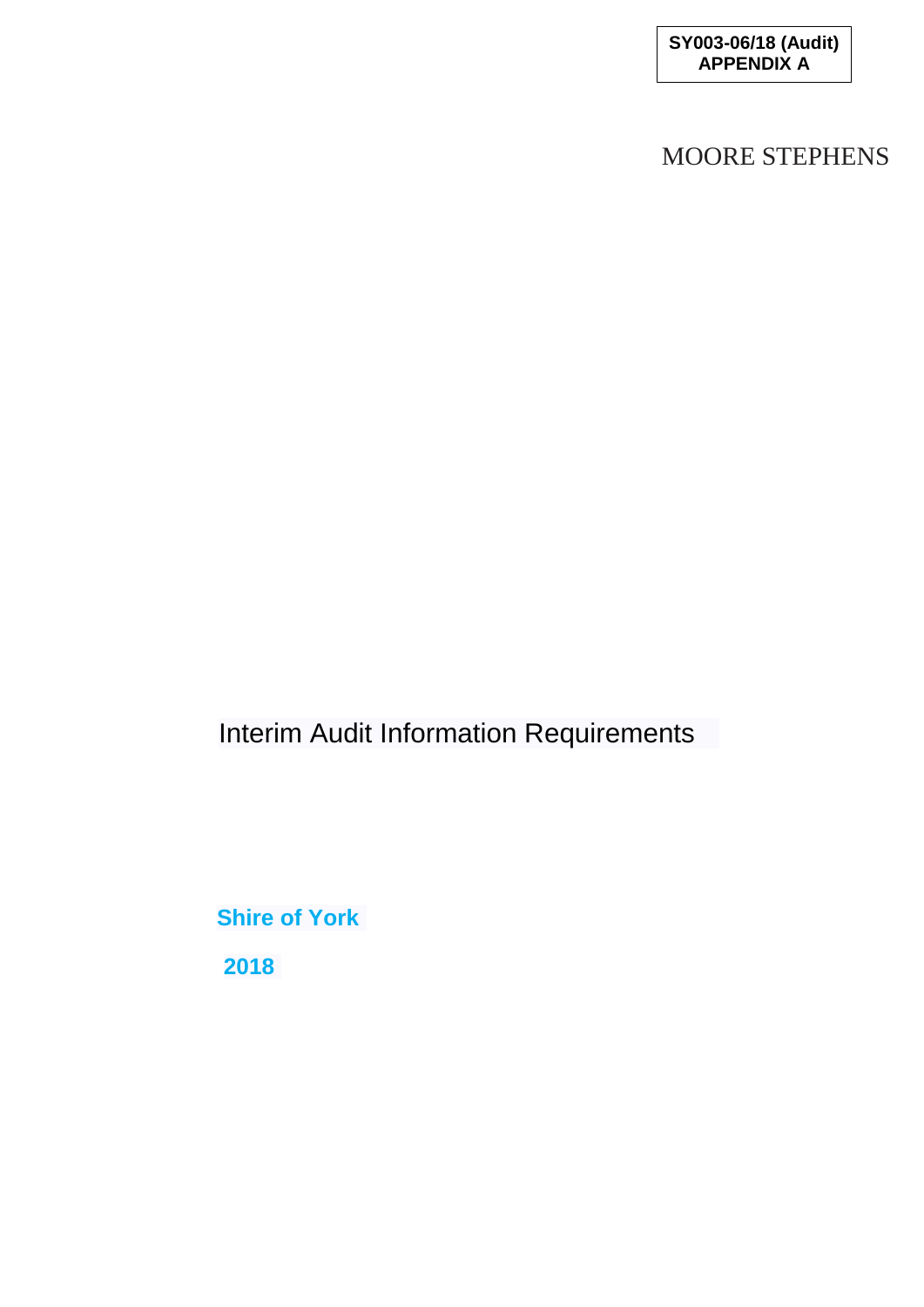# MOORE STEPHENS

Interim Audit Information Requirements

**Shire of York 2018**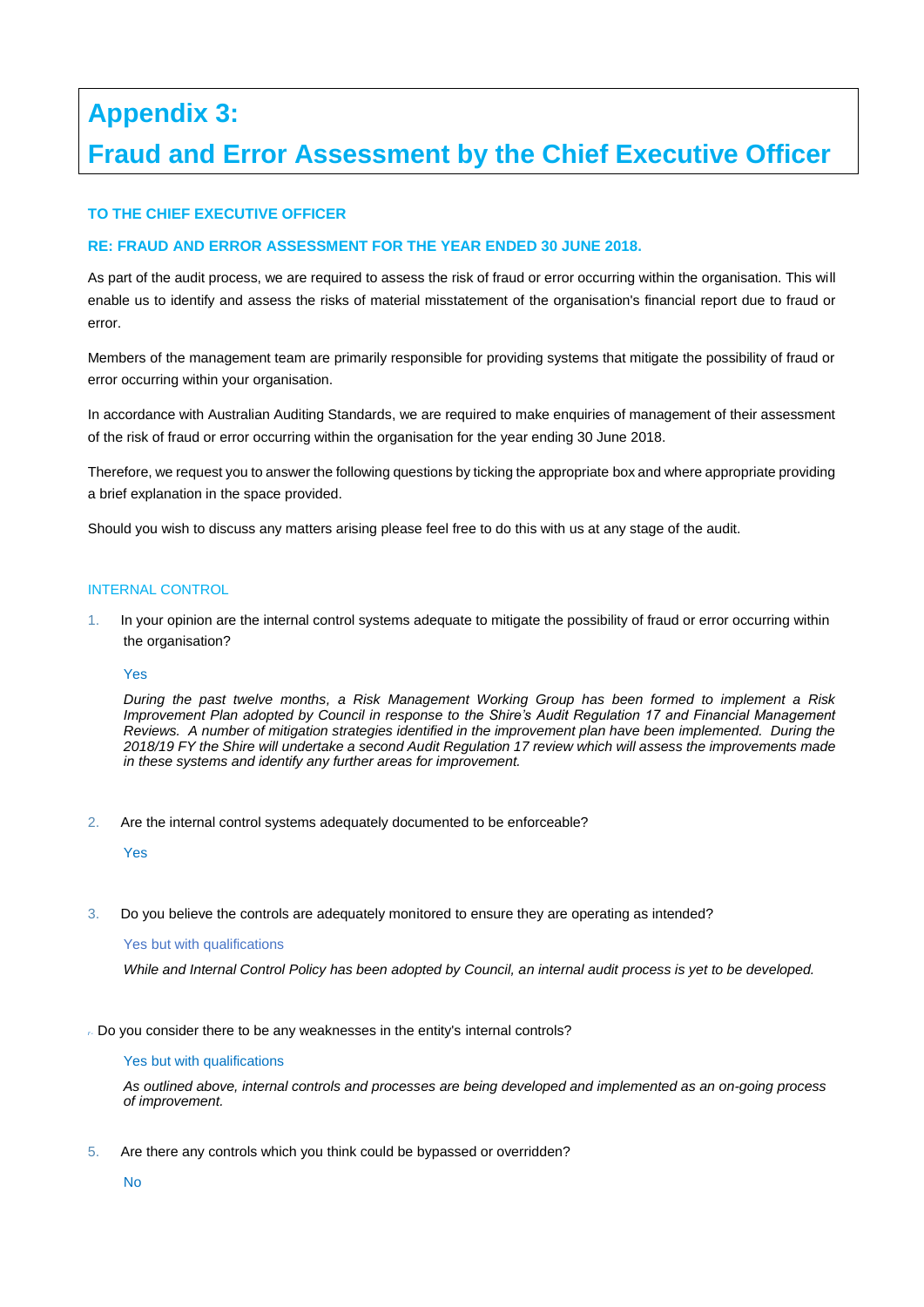# **Appendix 3: Fraud and Error Assessment by the Chief Executive Officer**

#### **TO THE CHIEF EXECUTIVE OFFICER**

#### **RE: FRAUD AND ERROR ASSESSMENT FOR THE YEAR ENDED 30 JUNE 2018.**

As part of the audit process, we are required to assess the risk of fraud or error occurring within the organisation. This will enable us to identify and assess the risks of material misstatement of the organisation's financial report due to fraud or error.

Members of the management team are primarily responsible for providing systems that mitigate the possibility of fraud or error occurring within your organisation.

In accordance with Australian Auditing Standards, we are required to make enquiries of management of their assessment of the risk of fraud or error occurring within the organisation for the year ending 30 June 2018.

Therefore, we request you to answer the following questions by ticking the appropriate box and where appropriate providing a brief explanation in the space provided.

Should you wish to discuss any matters arising please feel free to do this with us at any stage of the audit.

#### INTERNAL CONTROL

1. In your opinion are the internal control systems adequate to mitigate the possibility of fraud or error occurring within the organisation?

#### Yes

*During the past twelve months, a Risk Management Working Group has been formed to implement a Risk Improvement Plan adopted by Council in response to the Shire's Audit Regulation 17 and Financial Management Reviews. A number of mitigation strategies identified in the improvement plan have been implemented. During the 2018/19 FY the Shire will undertake a second Audit Regulation 17 review which will assess the improvements made in these systems and identify any further areas for improvement.* 

2. Are the internal control systems adequately documented to be enforceable?

Yes

3. Do you believe the controls are adequately monitored to ensure they are operating as intended?

#### Yes but with qualifications

*While and Internal Control Policy has been adopted by Council, an internal audit process is yet to be developed.*

*r-* Do you consider there to be any weaknesses in the entity's internal controls?

#### Yes but with qualifications

*As outlined above, internal controls and processes are being developed and implemented as an on-going process of improvement.*

5. Are there any controls which you think could be bypassed or overridden?

No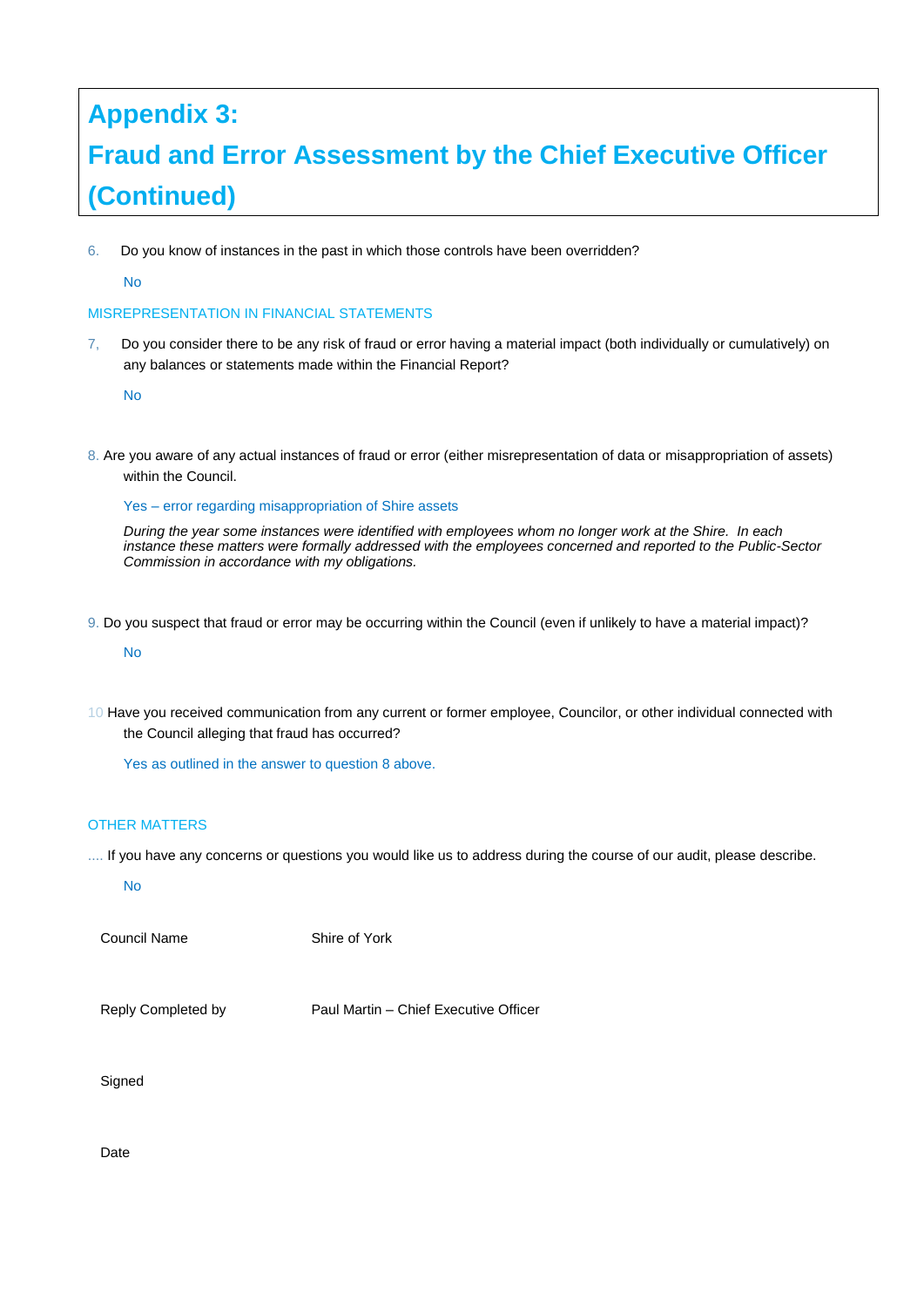# **Appendix 3: Fraud and Error Assessment by the Chief Executive Officer (Continued)**

6. Do you know of instances in the past in which those controls have been overridden?

No

#### MISREPRESENTATION IN FINANCIAL STATEMENTS

7, Do you consider there to be any risk of fraud or error having a material impact (both individually or cumulatively) on any balances or statements made within the Financial Report?

No

8. Are you aware of any actual instances of fraud or error (either misrepresentation of data or misappropriation of assets) within the Council.

Yes – error regarding misappropriation of Shire assets

*During the year some instances were identified with employees whom no longer work at the Shire. In each instance these matters were formally addressed with the employees concerned and reported to the Public-Sector Commission in accordance with my obligations.* 

9. Do you suspect that fraud or error may be occurring within the Council (even if unlikely to have a material impact)?

No

10 Have you received communication from any current or former employee, Councilor, or other individual connected with the Council alleging that fraud has occurred?

Yes as outlined in the answer to question 8 above.

#### OTHER MATTERS

.... If you have any concerns or questions you would like us to address during the course of our audit, please describe.

No

Council Name Shire of York

Reply Completed by Paul Martin – Chief Executive Officer

Signed

Date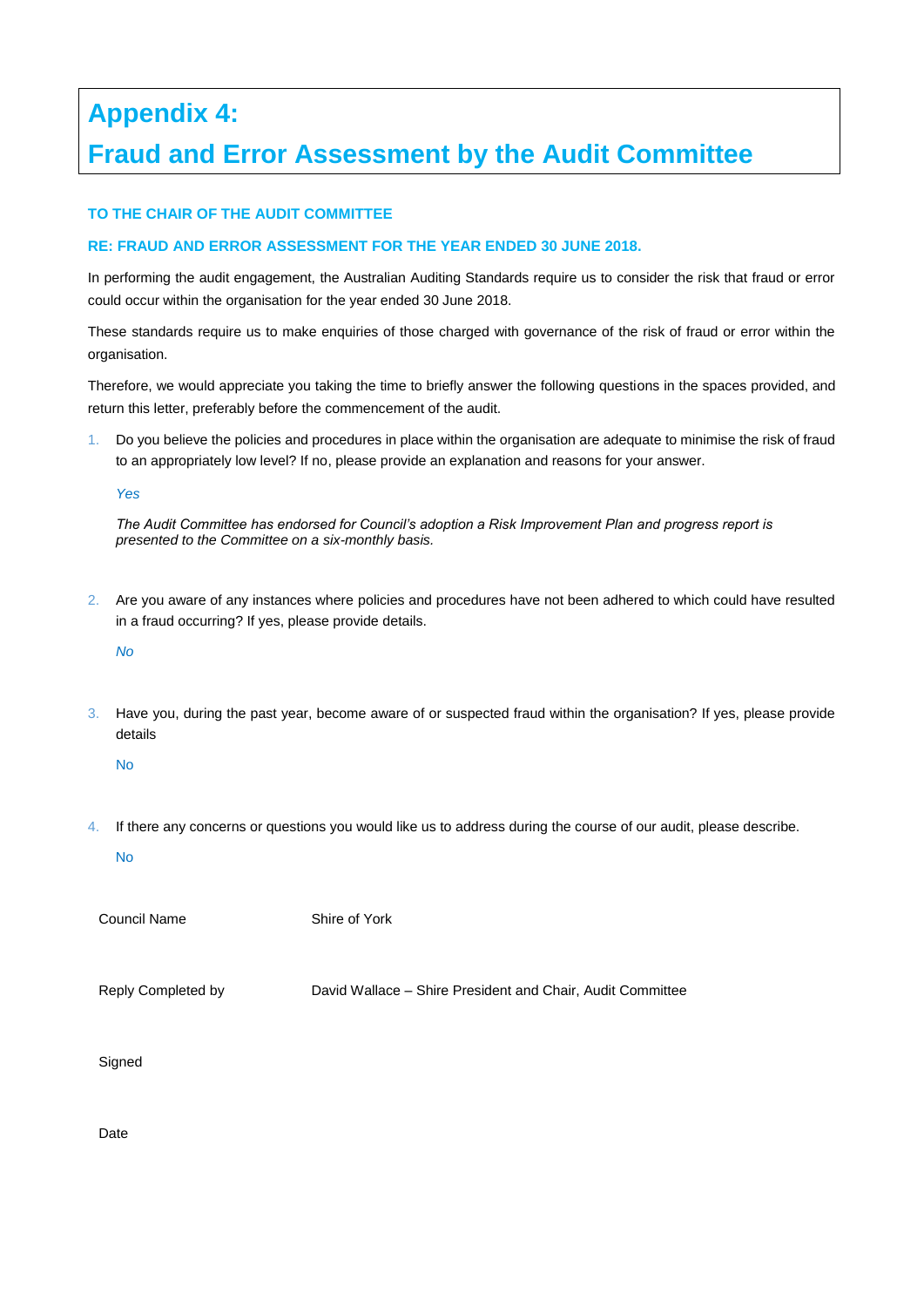# **Appendix 4: Fraud and Error Assessment by the Audit Committee**

#### **TO THE CHAIR OF THE AUDIT COMMITTEE**

#### **RE: FRAUD AND ERROR ASSESSMENT FOR THE YEAR ENDED 30 JUNE 2018.**

In performing the audit engagement, the Australian Auditing Standards require us to consider the risk that fraud or error could occur within the organisation for the year ended 30 June 2018.

These standards require us to make enquiries of those charged with governance of the risk of fraud or error within the organisation.

Therefore, we would appreciate you taking the time to briefly answer the following questions in the spaces provided, and return this letter, preferably before the commencement of the audit.

1. Do you believe the policies and procedures in place within the organisation are adequate to minimise the risk of fraud to an appropriately low level? If no, please provide an explanation and reasons for your answer.

*Yes*

*The Audit Committee has endorsed for Council's adoption a Risk Improvement Plan and progress report is presented to the Committee on a six-monthly basis.*

2. Are you aware of any instances where policies and procedures have not been adhered to which could have resulted in a fraud occurring? If yes, please provide details.

*No* 

3. Have you, during the past year, become aware of or suspected fraud within the organisation? If yes, please provide details

No

4. If there any concerns or questions you would like us to address during the course of our audit, please describe.

No

Council Name Shire of York

Reply Completed by David Wallace – Shire President and Chair, Audit Committee

Signed

Date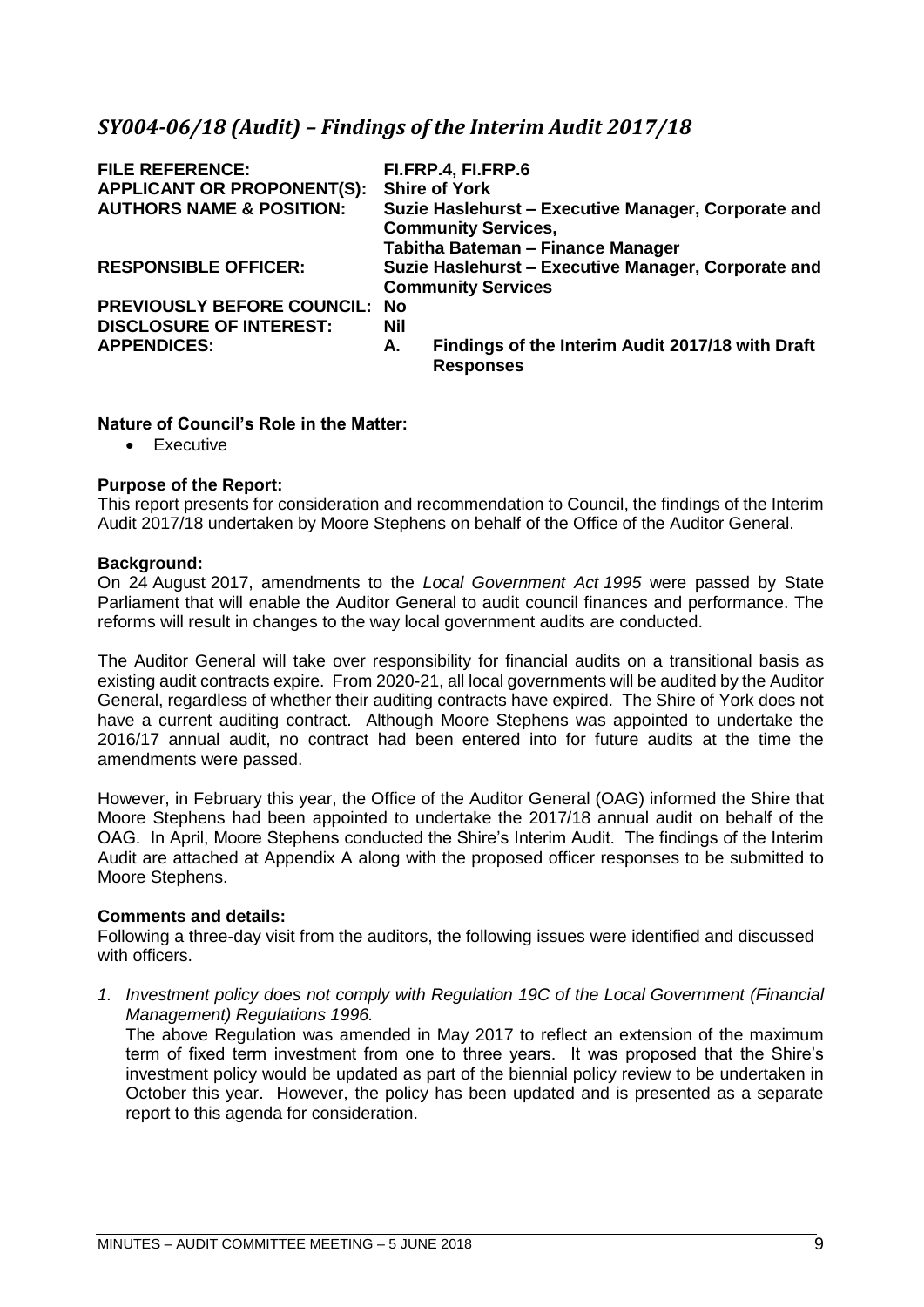# <span id="page-12-0"></span>*SY004-06/18 (Audit) – Findings of the Interim Audit 2017/18*

| <b>FILE REFERENCE:</b><br><b>APPLICANT OR PROPONENT(S):</b> |            | FI.FRP.4, FI.FRP.6<br><b>Shire of York</b>                                                                             |
|-------------------------------------------------------------|------------|------------------------------------------------------------------------------------------------------------------------|
| <b>AUTHORS NAME &amp; POSITION:</b>                         |            | Suzie Haslehurst - Executive Manager, Corporate and<br><b>Community Services,</b><br>Tabitha Bateman - Finance Manager |
| <b>RESPONSIBLE OFFICER:</b>                                 |            | Suzie Haslehurst - Executive Manager, Corporate and<br><b>Community Services</b>                                       |
| PREVIOUSLY BEFORE COUNCIL: No                               |            |                                                                                                                        |
| <b>DISCLOSURE OF INTEREST:</b>                              | <b>Nil</b> |                                                                                                                        |
| <b>APPENDICES:</b>                                          | А.         | Findings of the Interim Audit 2017/18 with Draft<br><b>Responses</b>                                                   |

#### **Nature of Council's Role in the Matter:**

• Executive

#### **Purpose of the Report:**

This report presents for consideration and recommendation to Council, the findings of the Interim Audit 2017/18 undertaken by Moore Stephens on behalf of the Office of the Auditor General.

#### **Background:**

On 24 August 2017, amendments to the *Local Government Act 1995* were passed by State Parliament that will enable the Auditor General to audit council finances and performance. The reforms will result in changes to the way local government audits are conducted.

The Auditor General will take over responsibility for financial audits on a transitional basis as existing audit contracts expire. From 2020-21, all local governments will be audited by the Auditor General, regardless of whether their auditing contracts have expired. The Shire of York does not have a current auditing contract. Although Moore Stephens was appointed to undertake the 2016/17 annual audit, no contract had been entered into for future audits at the time the amendments were passed.

However, in February this year, the Office of the Auditor General (OAG) informed the Shire that Moore Stephens had been appointed to undertake the 2017/18 annual audit on behalf of the OAG. In April, Moore Stephens conducted the Shire's Interim Audit. The findings of the Interim Audit are attached at Appendix A along with the proposed officer responses to be submitted to Moore Stephens.

#### **Comments and details:**

Following a three-day visit from the auditors, the following issues were identified and discussed with officers.

*1. Investment policy does not comply with Regulation 19C of the Local Government (Financial Management) Regulations 1996.* 

The above Regulation was amended in May 2017 to reflect an extension of the maximum term of fixed term investment from one to three years. It was proposed that the Shire's investment policy would be updated as part of the biennial policy review to be undertaken in October this year. However, the policy has been updated and is presented as a separate report to this agenda for consideration.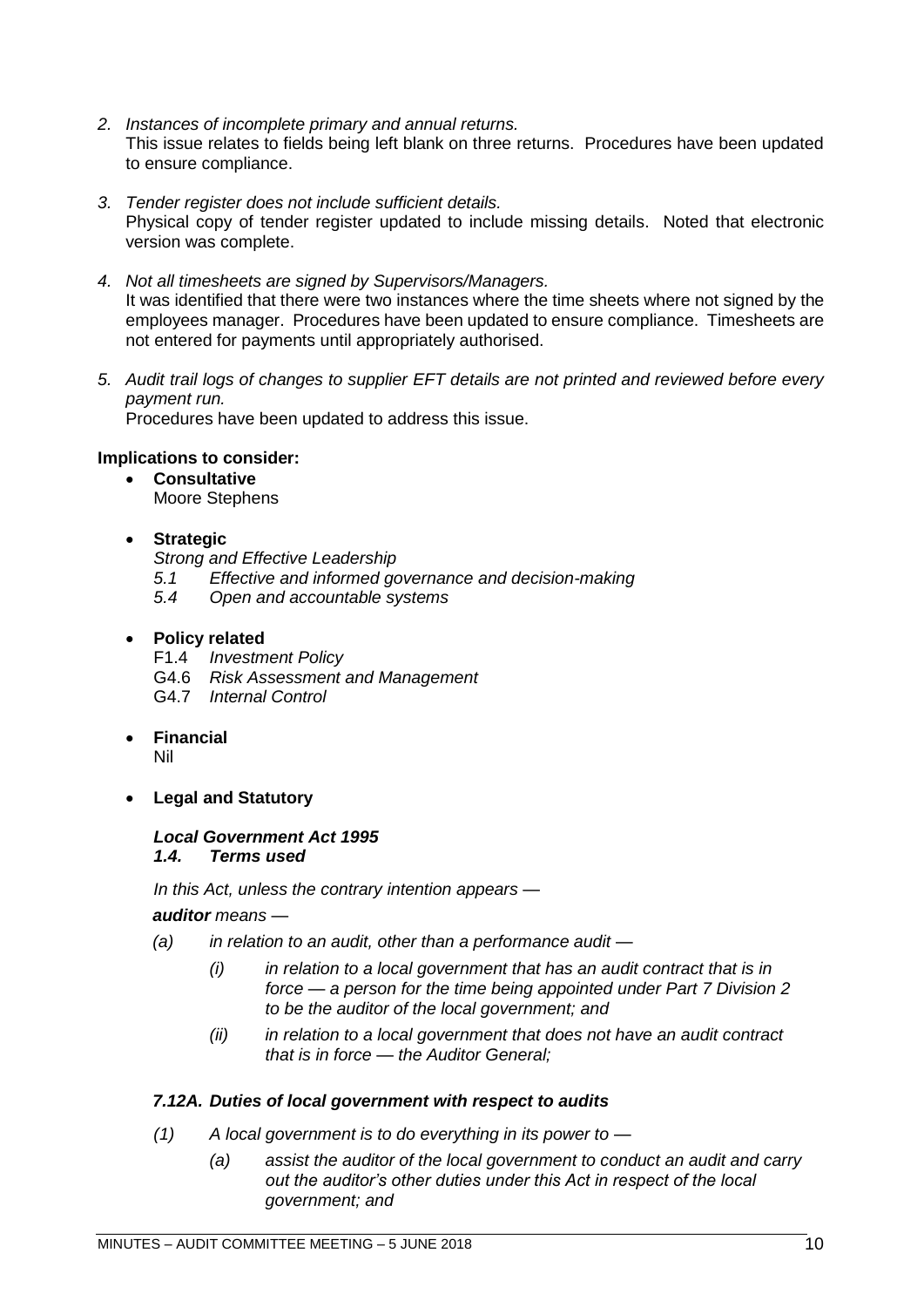- *2. Instances of incomplete primary and annual returns.* This issue relates to fields being left blank on three returns. Procedures have been updated to ensure compliance.
- *3. Tender register does not include sufficient details.* Physical copy of tender register updated to include missing details. Noted that electronic version was complete.
- *4. Not all timesheets are signed by Supervisors/Managers.* It was identified that there were two instances where the time sheets where not signed by the employees manager. Procedures have been updated to ensure compliance. Timesheets are not entered for payments until appropriately authorised.
- *5. Audit trail logs of changes to supplier EFT details are not printed and reviewed before every payment run.*  Procedures have been updated to address this issue.

#### **Implications to consider:**

• **Consultative** Moore Stephens

#### • **Strategic**

*Strong and Effective Leadership*

- *5.1 Effective and informed governance and decision-making*
- *5.4 Open and accountable systems*

#### • **Policy related**

- F1.4 *Investment Policy*
- G4.6 *Risk Assessment and Management*
- G4.7 *Internal Control*

#### • **Financial**

Nil

• **Legal and Statutory**

#### *Local Government Act 1995 1.4. Terms used*

*In this Act, unless the contrary intention appears —*

*auditor means —*

- *(a) in relation to an audit, other than a performance audit —*
	- *(i) in relation to a local government that has an audit contract that is in force — a person for the time being appointed under Part 7 Division 2 to be the auditor of the local government; and*
	- *(ii) in relation to a local government that does not have an audit contract that is in force — the Auditor General;*

#### *7.12A. Duties of local government with respect to audits*

- *(1) A local government is to do everything in its power to —*
	- *(a) assist the auditor of the local government to conduct an audit and carry out the auditor's other duties under this Act in respect of the local government; and*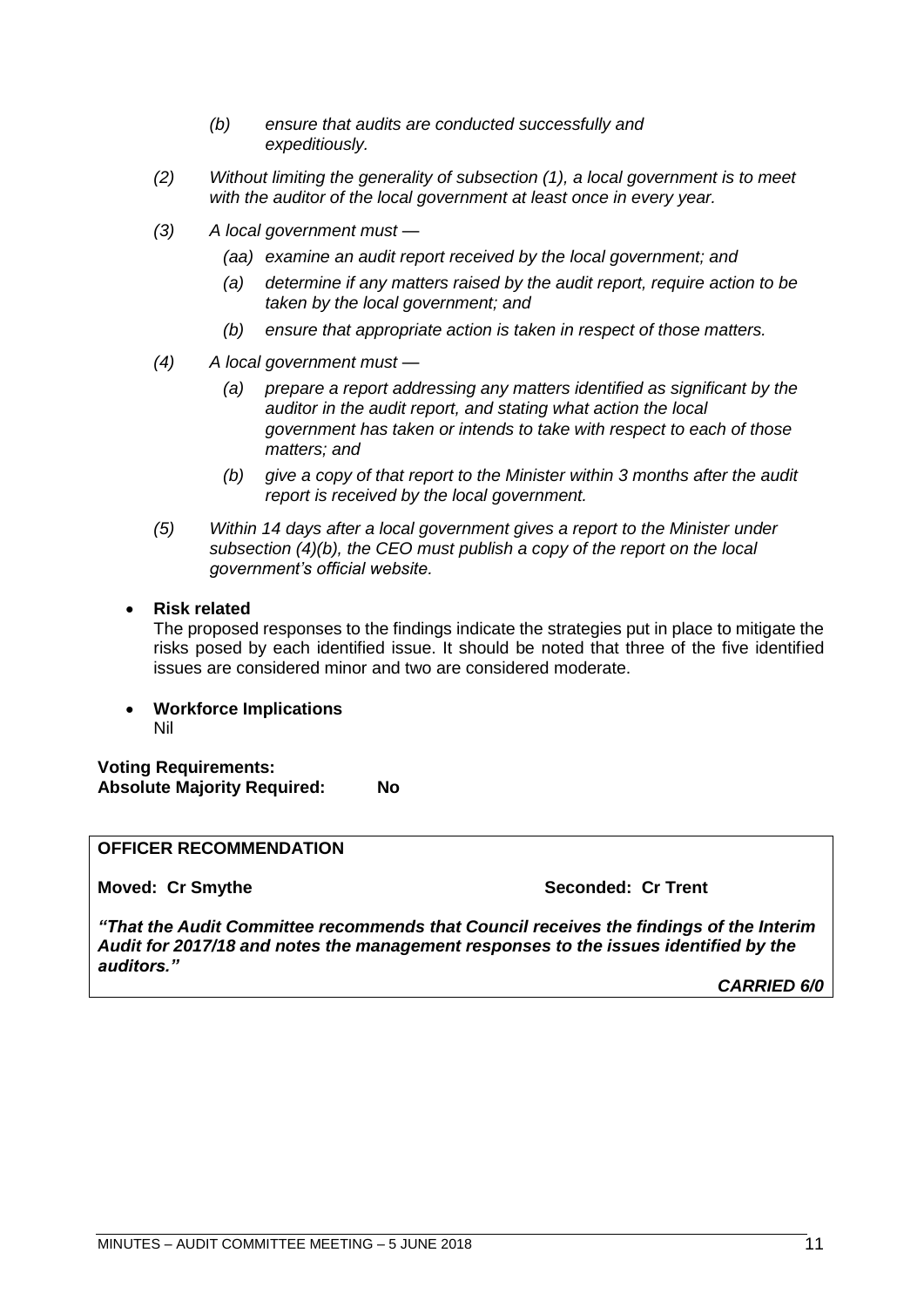- *(b) ensure that audits are conducted successfully and expeditiously.*
- *(2) Without limiting the generality of subsection (1), a local government is to meet with the auditor of the local government at least once in every year.*
- *(3) A local government must —*
	- *(aa) examine an audit report received by the local government; and*
	- *(a) determine if any matters raised by the audit report, require action to be taken by the local government; and*
	- *(b) ensure that appropriate action is taken in respect of those matters.*
- *(4) A local government must —*
	- *(a) prepare a report addressing any matters identified as significant by the auditor in the audit report, and stating what action the local government has taken or intends to take with respect to each of those matters; and*
	- *(b) give a copy of that report to the Minister within 3 months after the audit report is received by the local government.*
- *(5) Within 14 days after a local government gives a report to the Minister under subsection (4)(b), the CEO must publish a copy of the report on the local government's official website.*
- **Risk related**

The proposed responses to the findings indicate the strategies put in place to mitigate the risks posed by each identified issue. It should be noted that three of the five identified issues are considered minor and two are considered moderate.

• **Workforce Implications** Nil

**Voting Requirements: Absolute Majority Required: No**

#### **OFFICER RECOMMENDATION**

**Moved: Cr Smythe Seconded: Cr Trent**

*"That the Audit Committee recommends that Council receives the findings of the Interim Audit for 2017/18 and notes the management responses to the issues identified by the auditors."*

*CARRIED 6/0*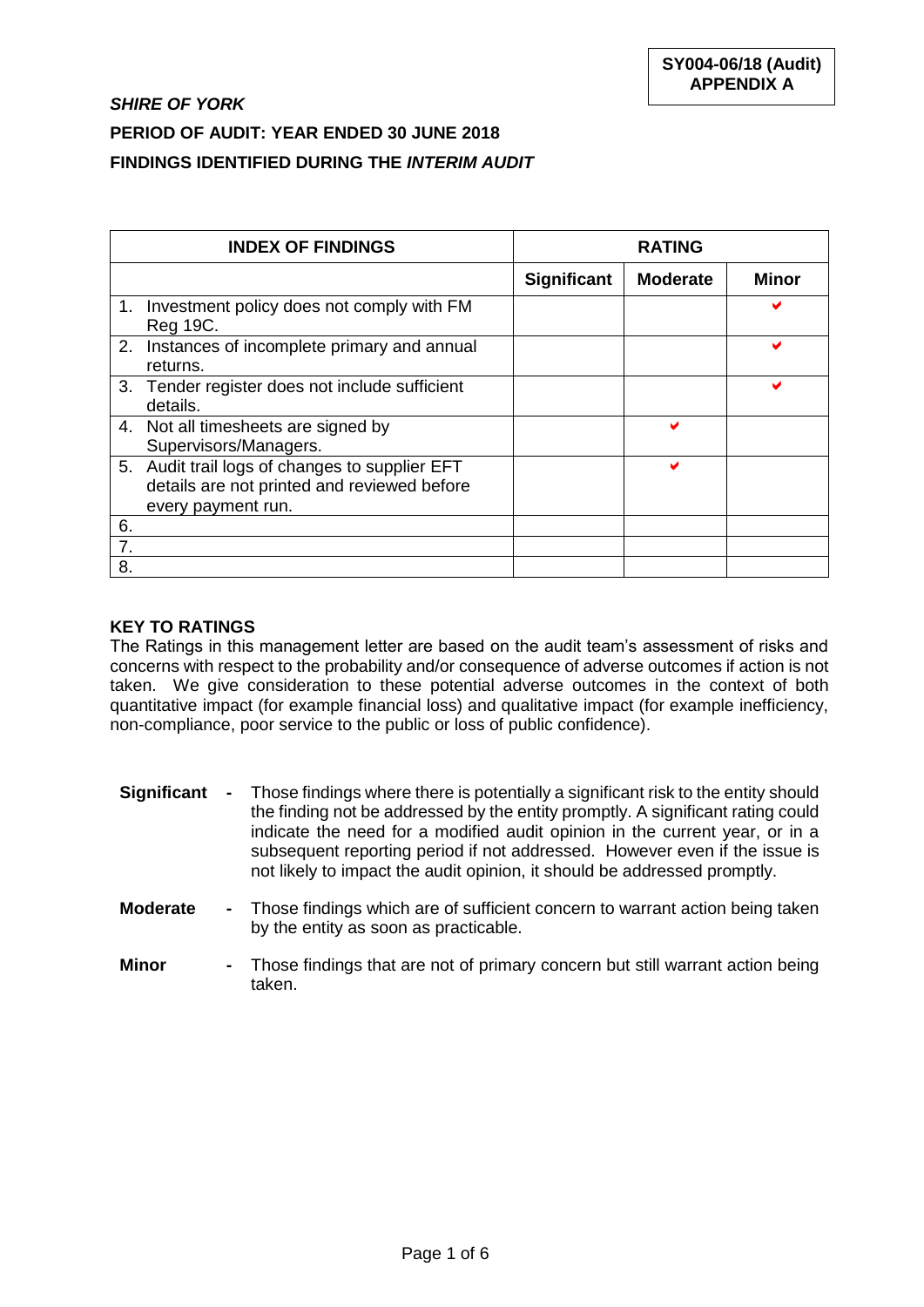|    | <b>INDEX OF FINDINGS</b>                                                                                            |             | <b>RATING</b>   |       |
|----|---------------------------------------------------------------------------------------------------------------------|-------------|-----------------|-------|
|    |                                                                                                                     | Significant | <b>Moderate</b> | Minor |
| 1. | Investment policy does not comply with FM<br>Reg 19C.                                                               |             |                 |       |
| 2. | Instances of incomplete primary and annual<br>returns.                                                              |             |                 |       |
|    | 3. Tender register does not include sufficient<br>details.                                                          |             |                 |       |
|    | 4. Not all timesheets are signed by<br>Supervisors/Managers.                                                        |             | м               |       |
|    | 5. Audit trail logs of changes to supplier EFT<br>details are not printed and reviewed before<br>every payment run. |             | v               |       |
| 6. |                                                                                                                     |             |                 |       |
| 7. |                                                                                                                     |             |                 |       |
| 8. |                                                                                                                     |             |                 |       |

#### **KEY TO RATINGS**

The Ratings in this management letter are based on the audit team's assessment of risks and concerns with respect to the probability and/or consequence of adverse outcomes if action is not taken. We give consideration to these potential adverse outcomes in the context of both quantitative impact (for example financial loss) and qualitative impact (for example inefficiency, non-compliance, poor service to the public or loss of public confidence).

| Significant | - Those findings where there is potentially a significant risk to the entity should<br>the finding not be addressed by the entity promptly. A significant rating could<br>indicate the need for a modified audit opinion in the current year, or in a<br>subsequent reporting period if not addressed. However even if the issue is<br>not likely to impact the audit opinion, it should be addressed promptly. |
|-------------|-----------------------------------------------------------------------------------------------------------------------------------------------------------------------------------------------------------------------------------------------------------------------------------------------------------------------------------------------------------------------------------------------------------------|
|             |                                                                                                                                                                                                                                                                                                                                                                                                                 |

- **Moderate -** Those findings which are of sufficient concern to warrant action being taken by the entity as soon as practicable.
- **Minor -** Those findings that are not of primary concern but still warrant action being taken.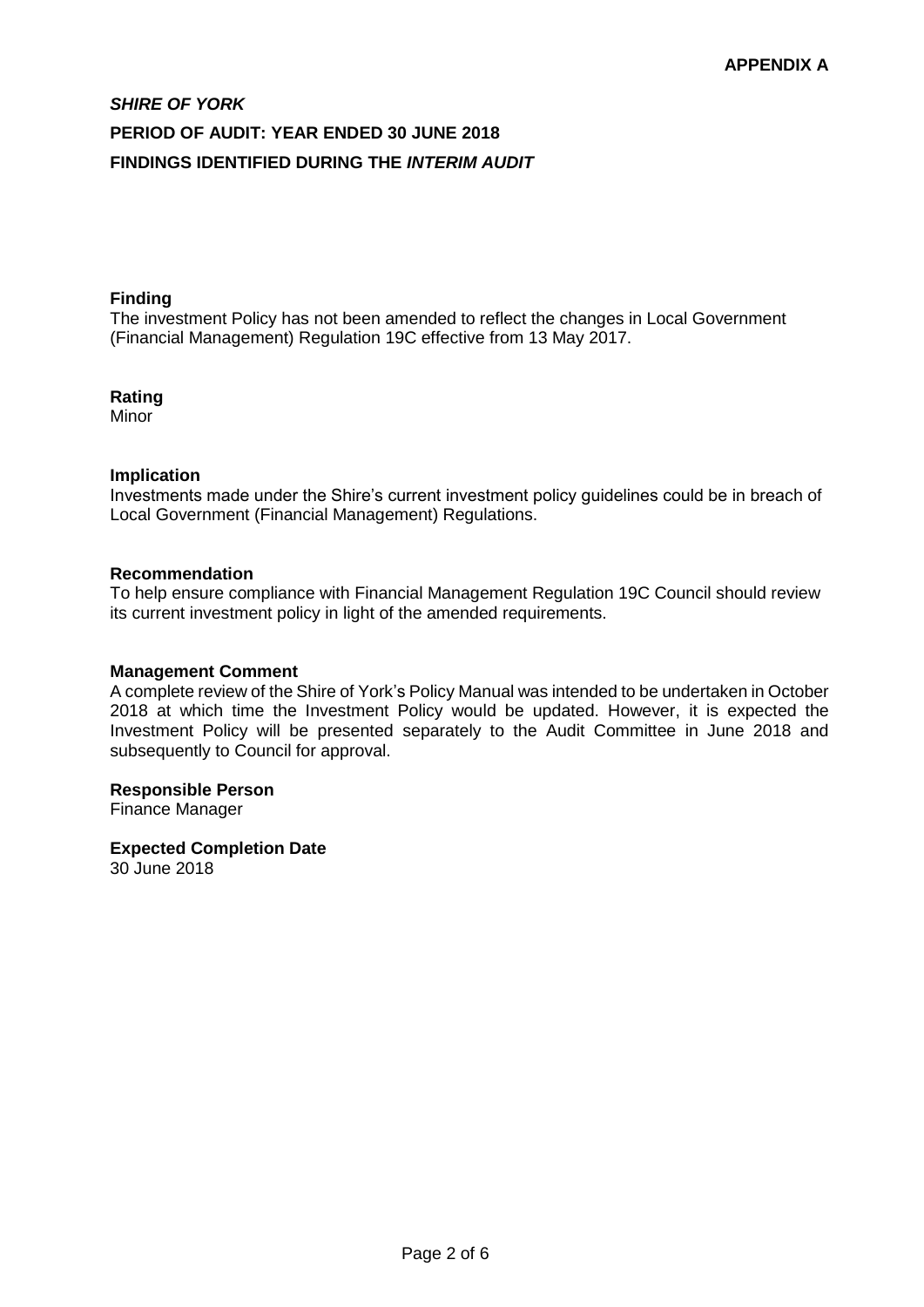#### **Finding**

The investment Policy has not been amended to reflect the changes in Local Government (Financial Management) Regulation 19C effective from 13 May 2017.

#### **Rating**

Minor

#### **Implication**

Investments made under the Shire's current investment policy guidelines could be in breach of Local Government (Financial Management) Regulations.

#### **Recommendation**

To help ensure compliance with Financial Management Regulation 19C Council should review its current investment policy in light of the amended requirements.

#### **Management Comment**

A complete review of the Shire of York's Policy Manual was intended to be undertaken in October 2018 at which time the Investment Policy would be updated. However, it is expected the Investment Policy will be presented separately to the Audit Committee in June 2018 and subsequently to Council for approval.

#### **Responsible Person**

Finance Manager

#### **Expected Completion Date**

30 June 2018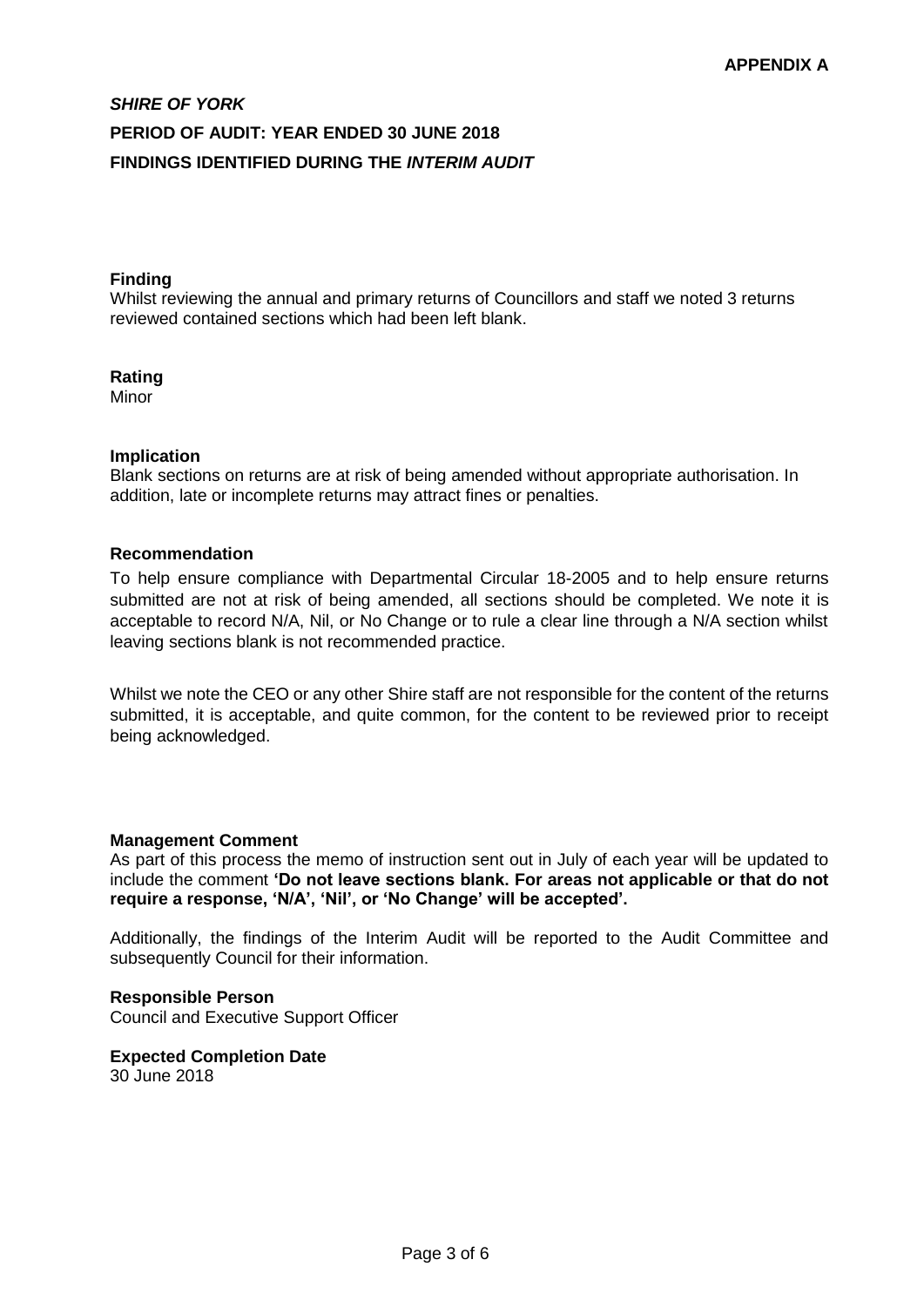#### **Finding**

Whilst reviewing the annual and primary returns of Councillors and staff we noted 3 returns reviewed contained sections which had been left blank.

#### **Rating**

Minor

#### **Implication**

Blank sections on returns are at risk of being amended without appropriate authorisation. In addition, late or incomplete returns may attract fines or penalties.

#### **Recommendation**

To help ensure compliance with Departmental Circular 18-2005 and to help ensure returns submitted are not at risk of being amended, all sections should be completed. We note it is acceptable to record N/A, Nil, or No Change or to rule a clear line through a N/A section whilst leaving sections blank is not recommended practice.

Whilst we note the CEO or any other Shire staff are not responsible for the content of the returns submitted, it is acceptable, and quite common, for the content to be reviewed prior to receipt being acknowledged.

#### **Management Comment**

As part of this process the memo of instruction sent out in July of each year will be updated to include the comment **'Do not leave sections blank. For areas not applicable or that do not require a response, 'N/A', 'Nil', or 'No Change' will be accepted'.** 

Additionally, the findings of the Interim Audit will be reported to the Audit Committee and subsequently Council for their information.

#### **Responsible Person**

Council and Executive Support Officer

**Expected Completion Date** 30 June 2018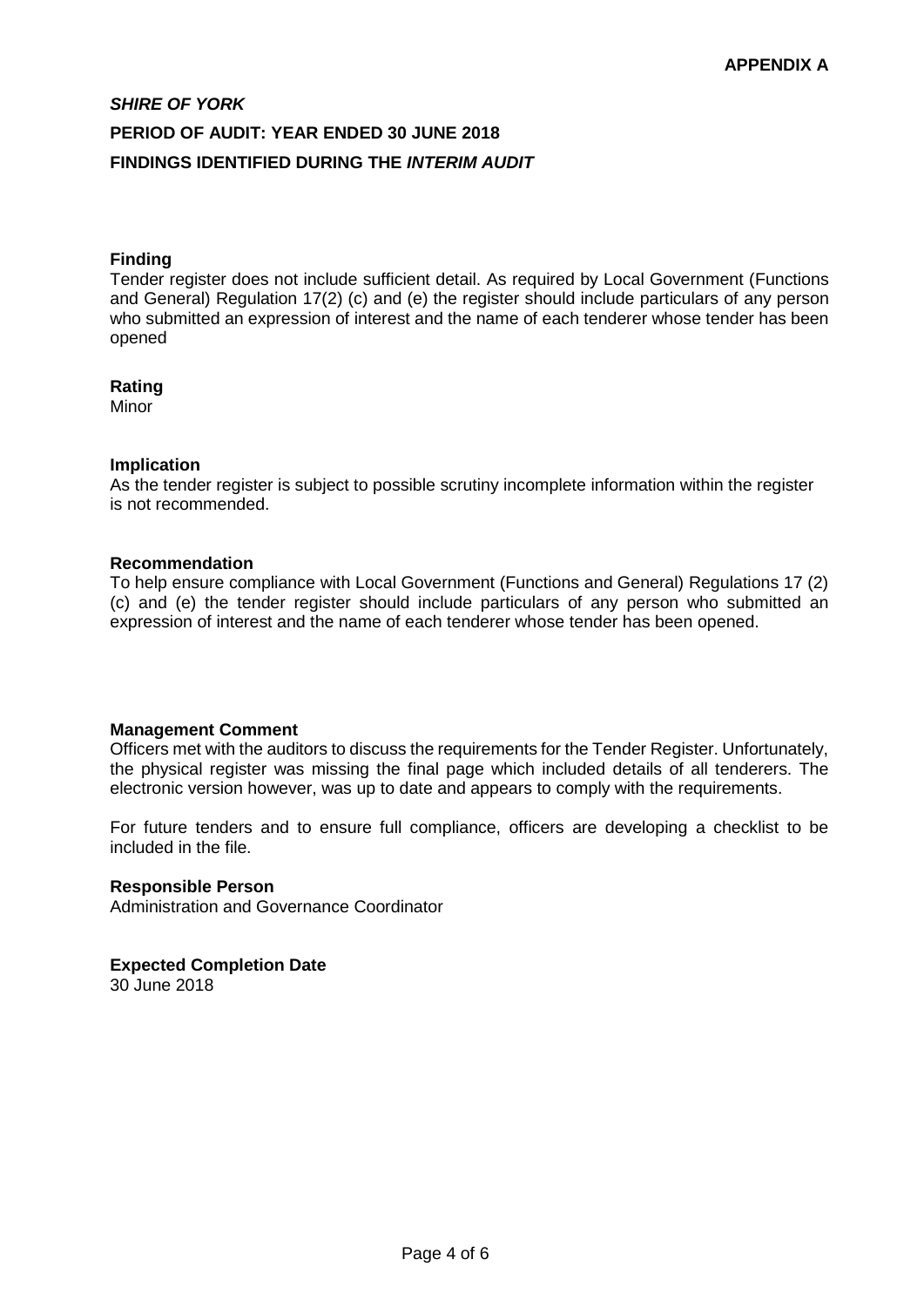#### **Finding**

Tender register does not include sufficient detail. As required by Local Government (Functions and General) Regulation 17(2) (c) and (e) the register should include particulars of any person who submitted an expression of interest and the name of each tenderer whose tender has been opened

#### **Rating**

Minor

#### **Implication**

As the tender register is subject to possible scrutiny incomplete information within the register is not recommended.

#### **Recommendation**

To help ensure compliance with Local Government (Functions and General) Regulations 17 (2) (c) and (e) the tender register should include particulars of any person who submitted an expression of interest and the name of each tenderer whose tender has been opened.

#### **Management Comment**

Officers met with the auditors to discuss the requirements for the Tender Register. Unfortunately, the physical register was missing the final page which included details of all tenderers. The electronic version however, was up to date and appears to comply with the requirements.

For future tenders and to ensure full compliance, officers are developing a checklist to be included in the file.

#### **Responsible Person**

Administration and Governance Coordinator

#### **Expected Completion Date**

30 June 2018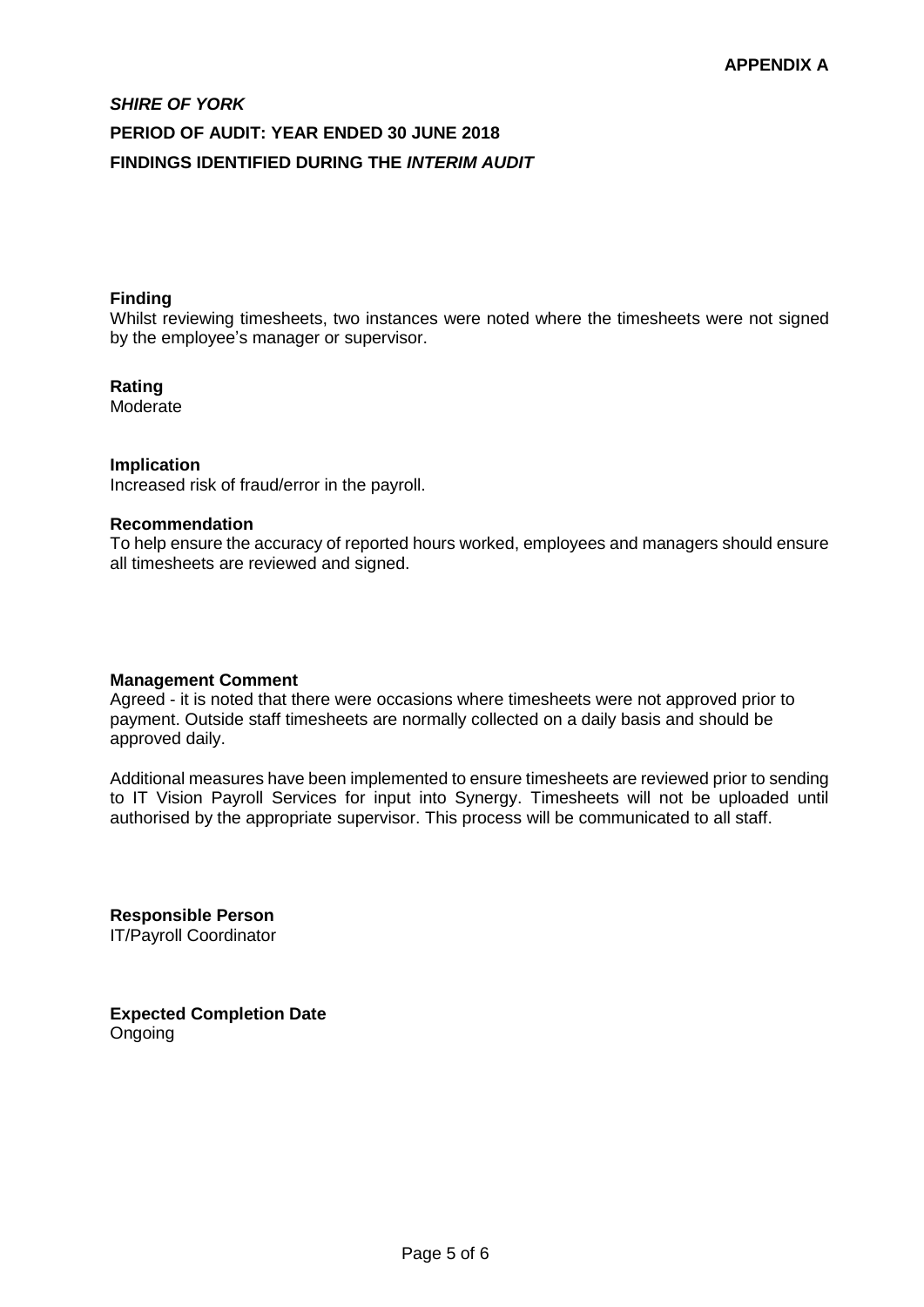#### **Finding**

Whilst reviewing timesheets, two instances were noted where the timesheets were not signed by the employee's manager or supervisor.

#### **Rating**

**Moderate** 

#### **Implication**

Increased risk of fraud/error in the payroll.

#### **Recommendation**

To help ensure the accuracy of reported hours worked, employees and managers should ensure all timesheets are reviewed and signed.

#### **Management Comment**

Agreed - it is noted that there were occasions where timesheets were not approved prior to payment. Outside staff timesheets are normally collected on a daily basis and should be approved daily.

Additional measures have been implemented to ensure timesheets are reviewed prior to sending to IT Vision Payroll Services for input into Synergy. Timesheets will not be uploaded until authorised by the appropriate supervisor. This process will be communicated to all staff.

**Responsible Person** IT/Payroll Coordinator

**Expected Completion Date** Ongoing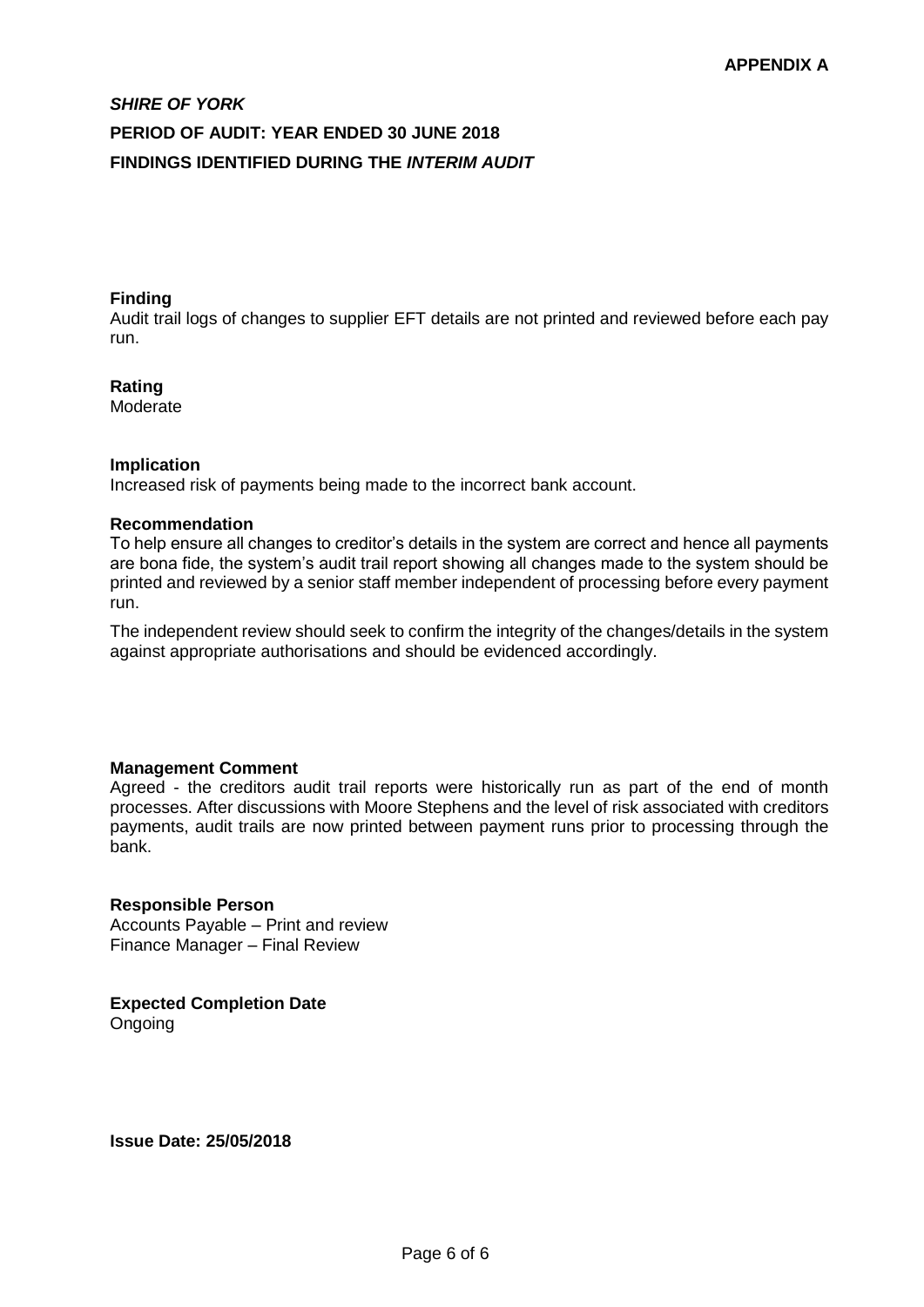#### **Finding**

Audit trail logs of changes to supplier EFT details are not printed and reviewed before each pay run.

#### **Rating**

Moderate

#### **Implication**

Increased risk of payments being made to the incorrect bank account.

#### **Recommendation**

To help ensure all changes to creditor's details in the system are correct and hence all payments are bona fide, the system's audit trail report showing all changes made to the system should be printed and reviewed by a senior staff member independent of processing before every payment run.

The independent review should seek to confirm the integrity of the changes/details in the system against appropriate authorisations and should be evidenced accordingly.

#### **Management Comment**

Agreed - the creditors audit trail reports were historically run as part of the end of month processes. After discussions with Moore Stephens and the level of risk associated with creditors payments, audit trails are now printed between payment runs prior to processing through the bank.

#### **Responsible Person**

Accounts Payable – Print and review Finance Manager – Final Review

**Expected Completion Date** Ongoing

**Issue Date: 25/05/2018**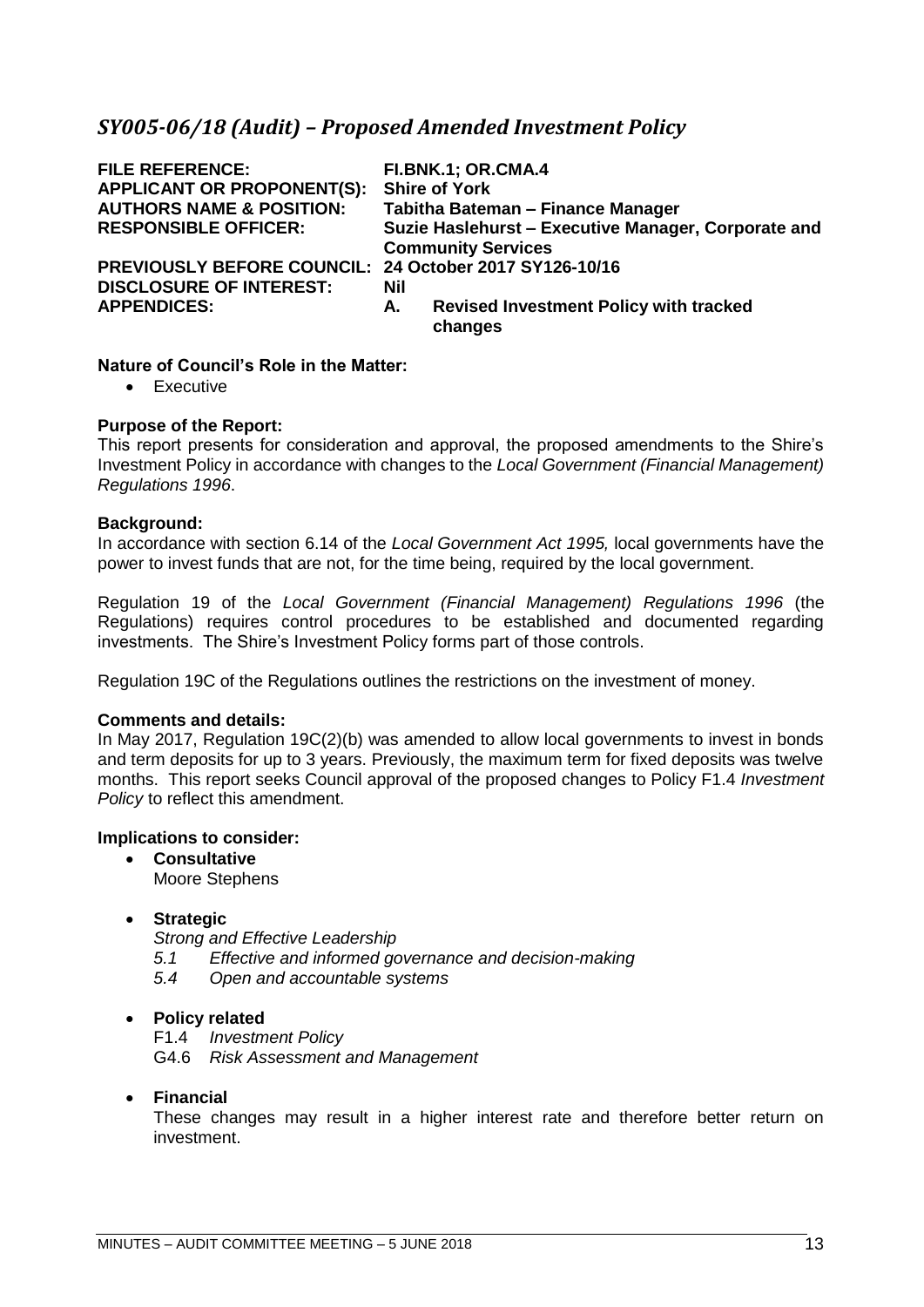# <span id="page-22-0"></span>*SY005-06/18 (Audit) – Proposed Amended Investment Policy*

| <b>FILE REFERENCE:</b><br><b>APPLICANT OR PROPONENT(S):</b><br><b>AUTHORS NAME &amp; POSITION:</b><br><b>RESPONSIBLE OFFICER:</b> |     | <b>FI.BNK.1; OR.CMA.4</b><br><b>Shire of York</b><br>Tabitha Bateman - Finance Manager<br>Suzie Haslehurst - Executive Manager, Corporate and |
|-----------------------------------------------------------------------------------------------------------------------------------|-----|-----------------------------------------------------------------------------------------------------------------------------------------------|
|                                                                                                                                   |     | <b>Community Services</b>                                                                                                                     |
| PREVIOUSLY BEFORE COUNCIL: 24 October 2017 SY126-10/16<br><b>DISCLOSURE OF INTEREST:</b>                                          | Nil |                                                                                                                                               |
| <b>APPENDICES:</b>                                                                                                                | А.  | <b>Revised Investment Policy with tracked</b><br>changes                                                                                      |
|                                                                                                                                   |     |                                                                                                                                               |

#### **Nature of Council's Role in the Matter:**

• Executive

#### **Purpose of the Report:**

This report presents for consideration and approval, the proposed amendments to the Shire's Investment Policy in accordance with changes to the *Local Government (Financial Management) Regulations 1996*.

#### **Background:**

In accordance with section 6.14 of the *Local Government Act 1995,* local governments have the power to invest funds that are not, for the time being, required by the local government.

Regulation 19 of the *Local Government (Financial Management) Regulations 1996* (the Regulations) requires control procedures to be established and documented regarding investments. The Shire's Investment Policy forms part of those controls.

Regulation 19C of the Regulations outlines the restrictions on the investment of money.

#### **Comments and details:**

In May 2017, Regulation 19C(2)(b) was amended to allow local governments to invest in bonds and term deposits for up to 3 years. Previously, the maximum term for fixed deposits was twelve months. This report seeks Council approval of the proposed changes to Policy F1.4 *Investment Policy* to reflect this amendment.

#### **Implications to consider:**

- **Consultative** Moore Stephens
- **Strategic**

*Strong and Effective Leadership*

- *5.1 Effective and informed governance and decision-making*
- *5.4 Open and accountable systems*

#### • **Policy related**

F1.4 *Investment Policy* G4.6 *Risk Assessment and Management*

#### • **Financial**

These changes may result in a higher interest rate and therefore better return on investment.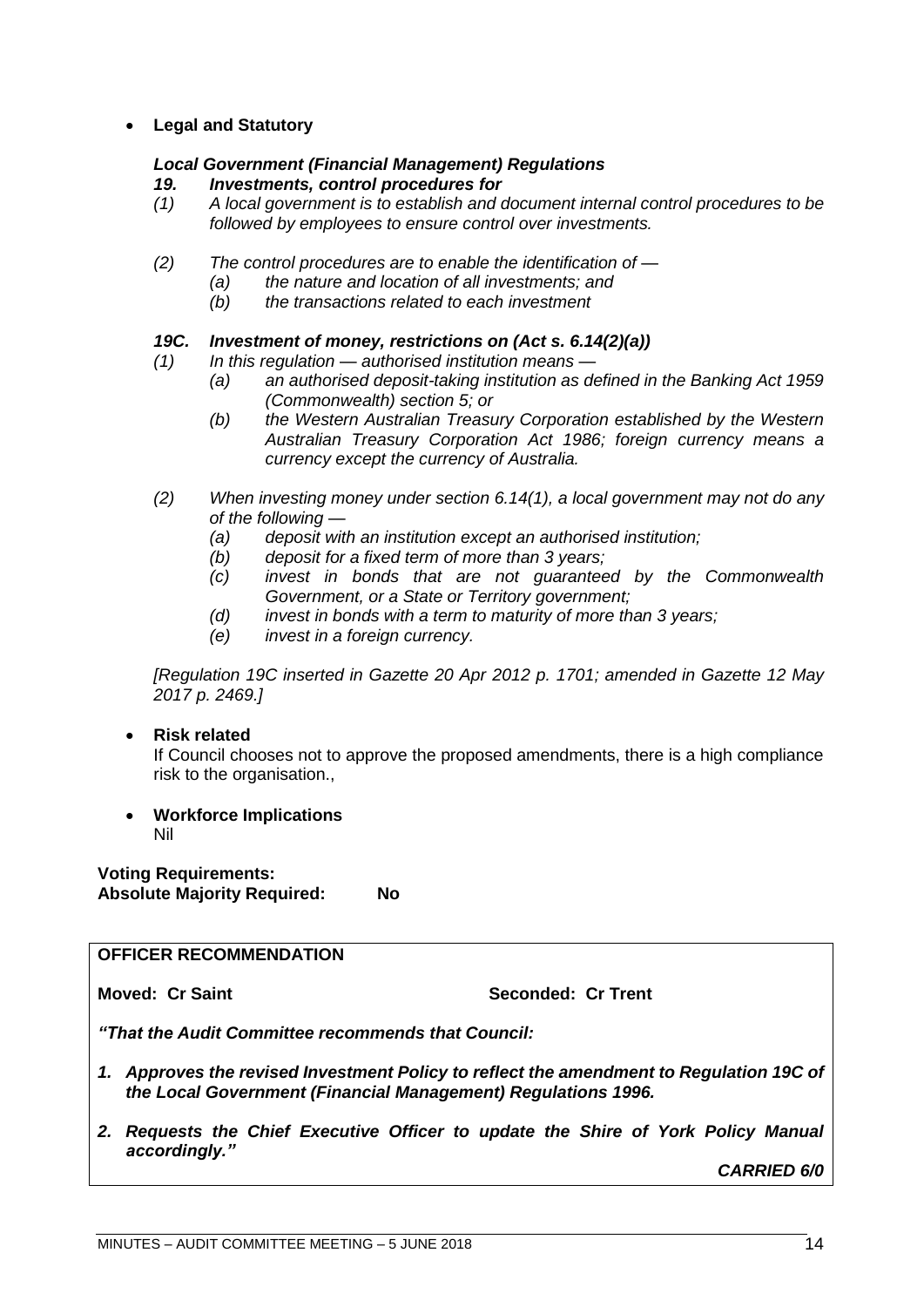#### • **Legal and Statutory**

#### *Local Government (Financial Management) Regulations*

#### *19. Investments, control procedures for*

- *(1) A local government is to establish and document internal control procedures to be followed by employees to ensure control over investments.*
- *(2) The control procedures are to enable the identification of —*
	- *(a) the nature and location of all investments; and*
	- *(b) the transactions related to each investment*

#### *19C. Investment of money, restrictions on (Act s. 6.14(2)(a))*

- *(1) In this regulation — authorised institution means —*
	- *(a) an authorised deposit-taking institution as defined in the Banking Act 1959 (Commonwealth) section 5; or*
	- *(b) the Western Australian Treasury Corporation established by the Western Australian Treasury Corporation Act 1986; foreign currency means a currency except the currency of Australia.*
- *(2) When investing money under section 6.14(1), a local government may not do any of the following —*
	- *(a) deposit with an institution except an authorised institution;*
	- *(b) deposit for a fixed term of more than 3 years;*
	- *(c) invest in bonds that are not guaranteed by the Commonwealth Government, or a State or Territory government;*
	- *(d) invest in bonds with a term to maturity of more than 3 years;*
	- *(e) invest in a foreign currency.*

*[Regulation 19C inserted in Gazette 20 Apr 2012 p. 1701; amended in Gazette 12 May 2017 p. 2469.]*

#### • **Risk related**

If Council chooses not to approve the proposed amendments, there is a high compliance risk to the organisation.,

• **Workforce Implications** Nil

**Voting Requirements: Absolute Majority Required: No**

#### **OFFICER RECOMMENDATION**

**Moved: Cr Saint Seconded: Cr Trent** 

*"That the Audit Committee recommends that Council:*

- *1. Approves the revised Investment Policy to reflect the amendment to Regulation 19C of the Local Government (Financial Management) Regulations 1996.*
- *2. Requests the Chief Executive Officer to update the Shire of York Policy Manual accordingly."*

*CARRIED 6/0*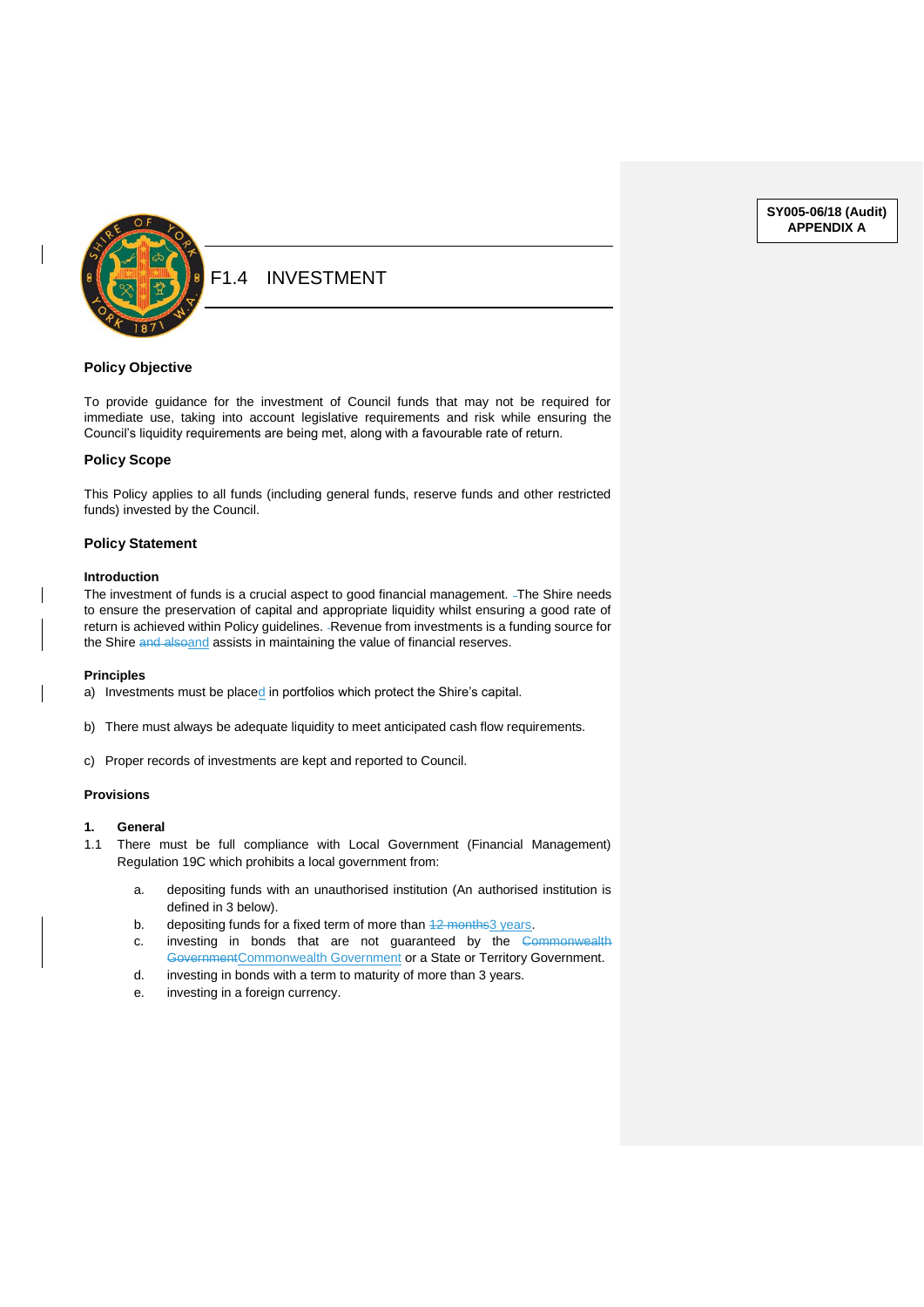

#### F1.4 INVESTMENT

#### **Policy Objective**

To provide guidance for the investment of Council funds that may not be required for immediate use, taking into account legislative requirements and risk while ensuring the Council's liquidity requirements are being met, along with a favourable rate of return.

#### **Policy Scope**

This Policy applies to all funds (including general funds, reserve funds and other restricted funds) invested by the Council.

#### **Policy Statement**

#### **Introduction**

The investment of funds is a crucial aspect to good financial management. -The Shire needs to ensure the preservation of capital and appropriate liquidity whilst ensuring a good rate of return is achieved within Policy guidelines. - Revenue from investments is a funding source for the Shire and alsoand assists in maintaining the value of financial reserves.

#### **Principles**

a) Investments must be placed in portfolios which protect the Shire's capital.

- b) There must always be adequate liquidity to meet anticipated cash flow requirements.
- c) Proper records of investments are kept and reported to Council.

#### **Provisions**

- **1. General**
- 1.1 There must be full compliance with Local Government (Financial Management) Regulation 19C which prohibits a local government from:
	- a. depositing funds with an unauthorised institution (An authorised institution is defined in 3 below).
	- b. depositing funds for a fixed term of more than  $42$  months  $3$  years.
	- c. investing in bonds that are not guaranteed by the Commonwealth GovernmentCommonwealth Government or a State or Territory Government.
	- d. investing in bonds with a term to maturity of more than 3 years.
	- e. investing in a foreign currency.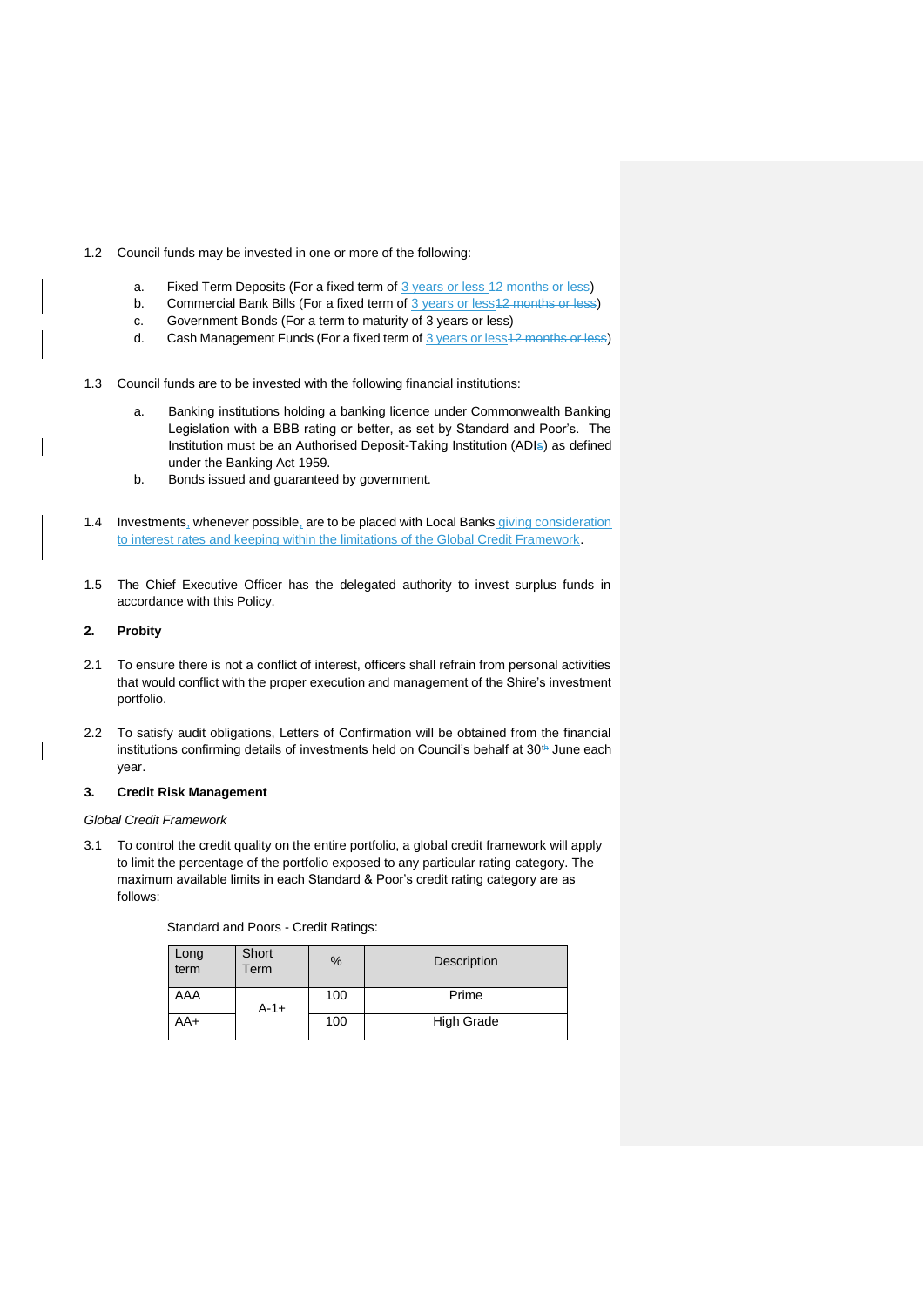- 1.2 Council funds may be invested in one or more of the following:
	- a. Fixed Term Deposits (For a fixed term of 3 years or less 42 months or less)
	- b. Commercial Bank Bills (For a fixed term of 3 years or less 12 months or less)
	- c. Government Bonds (For a term to maturity of 3 years or less)
	- d. Cash Management Funds (For a fixed term of 3 years or less 12 months or less)
- 1.3 Council funds are to be invested with the following financial institutions:
	- a. Banking institutions holding a banking licence under Commonwealth Banking Legislation with a BBB rating or better, as set by Standard and Poor's. The Institution must be an Authorised Deposit-Taking Institution (ADIs) as defined under the Banking Act 1959.
	- b. Bonds issued and guaranteed by government.
- 1.4 Investments, whenever possible, are to be placed with Local Banks giving consideration to interest rates and keeping within the limitations of the Global Credit Framework.
- 1.5 The Chief Executive Officer has the delegated authority to invest surplus funds in accordance with this Policy.

#### **2. Probity**

- 2.1 To ensure there is not a conflict of interest, officers shall refrain from personal activities that would conflict with the proper execution and management of the Shire's investment portfolio.
- 2.2 To satisfy audit obligations, Letters of Confirmation will be obtained from the financial institutions confirming details of investments held on Council's behalf at 30<sup>th</sup> June each year.

#### **3. Credit Risk Management**

#### *Global Credit Framework*

3.1 To control the credit quality on the entire portfolio, a global credit framework will apply to limit the percentage of the portfolio exposed to any particular rating category. The maximum available limits in each Standard & Poor's credit rating category are as follows:

| Standard and Poors - Credit Ratings: |  |  |  |
|--------------------------------------|--|--|--|
|--------------------------------------|--|--|--|

| Long<br>term | Short<br>Term | %   | Description       |
|--------------|---------------|-----|-------------------|
| AAA          | $A - 1 +$     | 100 | Prime             |
| AA+          |               | 100 | <b>High Grade</b> |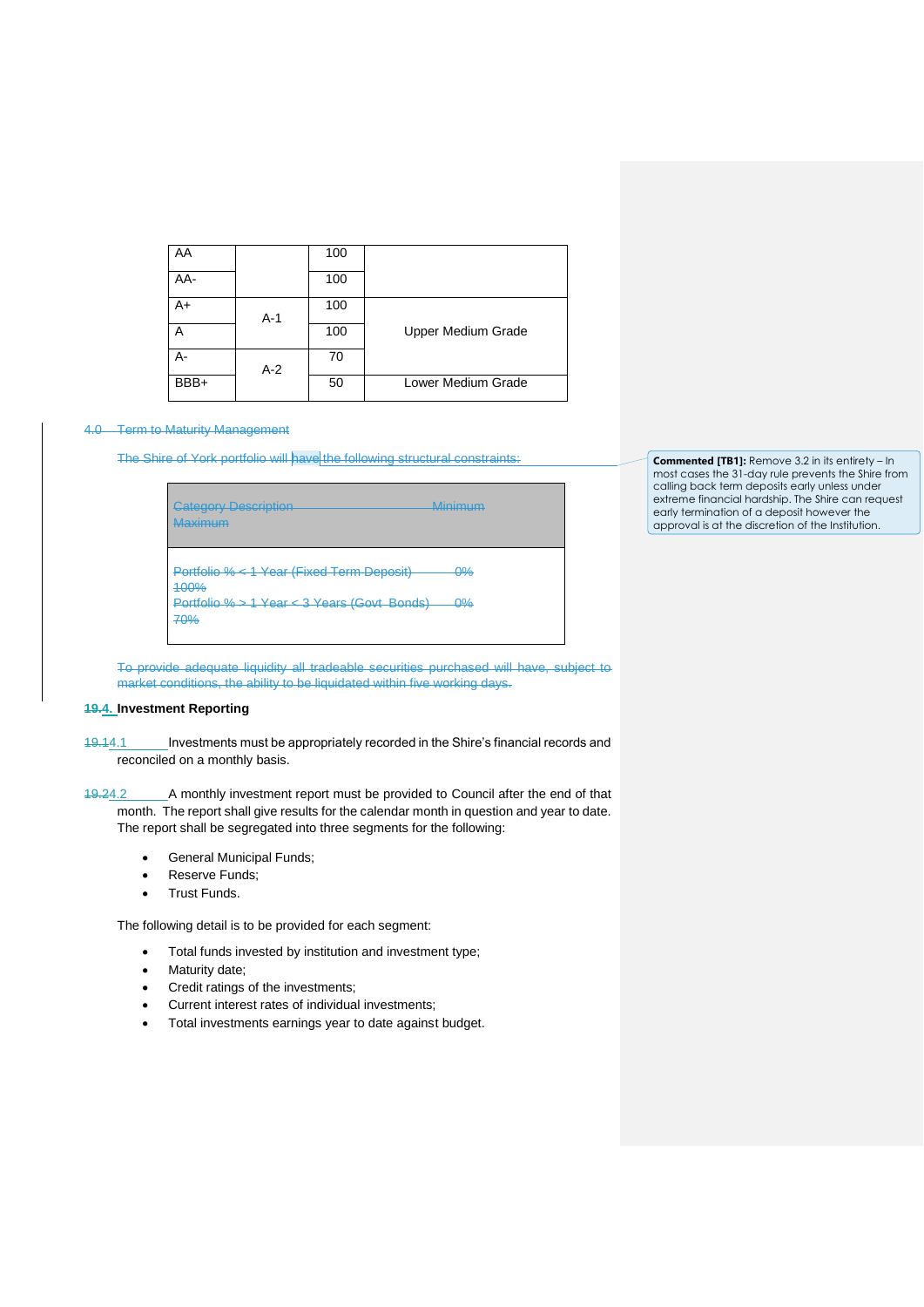| AA   |       | 100 |                    |
|------|-------|-----|--------------------|
| AA-  |       | 100 |                    |
| A+   | A-1   | 100 |                    |
| Α    |       | 100 | Upper Medium Grade |
| А-   | $A-2$ | 70  |                    |
| BBB+ |       | 50  | Lower Medium Grade |

#### 4.0 Term to Maturity Management

The Shire of York portfolio will have the following structural constraints:

| <b>Category Description</b><br>Maximum                                                                  | Minimum                    |
|---------------------------------------------------------------------------------------------------------|----------------------------|
| Portfolio % < 1 Year (Fixed Term Deposit)<br>400%<br>Portfolio % > 1 Year < 3 Years (Govt Bonds)<br>70% | <u>۵%</u><br><del>0%</del> |

**Commented [TB1]:** Remove 3.2 in its entirety – In most cases the 31-day rule prevents the Shire from calling back term deposits early unless under extreme financial hardship. The Shire can request early termination of a deposit however the approval is at the discretion of the Institution.

To provide adequate liquidity all tradeable securities purchased will have, subject to market conditions, the ability to be liquidated within five working days.

#### **19.4. Investment Reporting**

19.14.1 Investments must be appropriately recorded in the Shire's financial records and reconciled on a monthly basis.

19.24.2 A monthly investment report must be provided to Council after the end of that month. The report shall give results for the calendar month in question and year to date. The report shall be segregated into three segments for the following:

- General Municipal Funds;
- Reserve Funds;
- Trust Funds.

The following detail is to be provided for each segment:

- Total funds invested by institution and investment type;
- Maturity date;
- Credit ratings of the investments;
- Current interest rates of individual investments;
- Total investments earnings year to date against budget.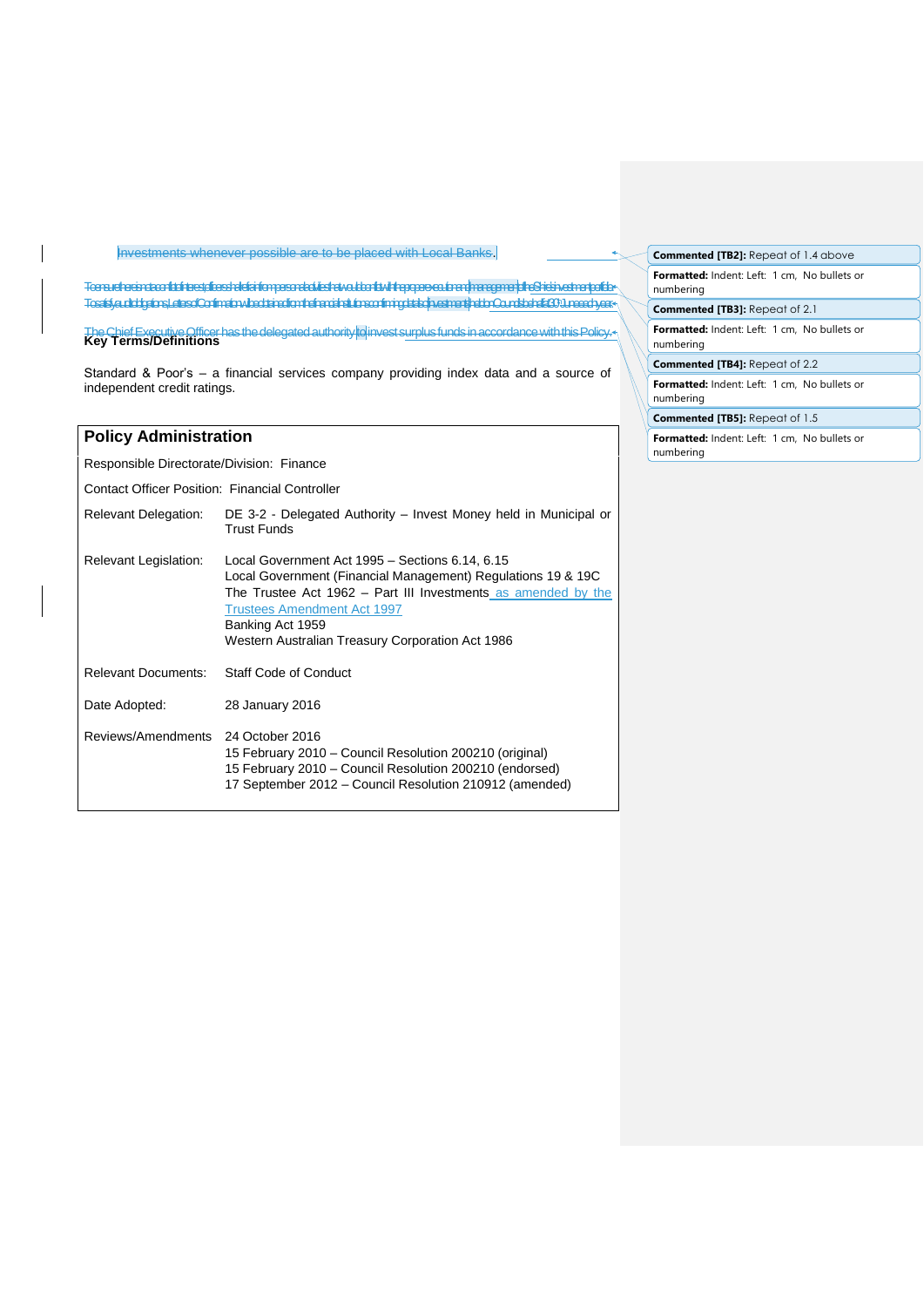#### Investments whenever possible are to be placed with Local Banks.

To ensure there is not a conflict of interest, officers shal refrain from personal activities that would conflict with the proper execution and managementof the Shire's investment portfolio. To satisfy audit obligations, Letters of Confirmation wil be obtained from the financial institutions confirming details of investmentsheld on Council's behalf at 30thJune each year.

The Chief Executive Officer has the delegated authority toinvest surplus funds in accordance with this Policy. **Key Terms/Definitions**

Standard & Poor's – a financial services company providing index data and a source of independent credit ratings.

#### **Policy Administration**

Responsible Directorate/Division: Finance

Contact Officer Position: Financial Controller

| <b>Relevant Delegation:</b>  | DE 3-2 - Delegated Authority – Invest Money held in Municipal or<br><b>Trust Funds</b>                                                                                                                                                                                                         |
|------------------------------|------------------------------------------------------------------------------------------------------------------------------------------------------------------------------------------------------------------------------------------------------------------------------------------------|
| <b>Relevant Legislation:</b> | Local Government Act 1995 - Sections 6.14, 6.15<br>Local Government (Financial Management) Regulations 19 & 19C<br>The Trustee Act 1962 – Part III Investments as amended by the<br><b>Trustees Amendment Act 1997</b><br>Banking Act 1959<br>Western Australian Treasury Corporation Act 1986 |
| <b>Relevant Documents:</b>   | Staff Code of Conduct                                                                                                                                                                                                                                                                          |
| Date Adopted:                | 28 January 2016                                                                                                                                                                                                                                                                                |
| Reviews/Amendments           | 24 October 2016<br>15 February 2010 - Council Resolution 200210 (original)<br>15 February 2010 - Council Resolution 200210 (endorsed)<br>17 September 2012 – Council Resolution 210912 (amended)                                                                                               |

**Formatted:** Indent: Left: 1 cm, No bullets or numbering **Commented [TB2]:** Repeat of 1.4 above **Commented [TB3]:** Repeat of 2.1

**Formatted:** Indent: Left: 1 cm, No bullets or numbering

**Commented [TB4]:** Repeat of 2.2

**Formatted:** Indent: Left: 1 cm, No bullets or numbering

**Commented [TB5]:** Repeat of 1.5

**Formatted:** Indent: Left: 1 cm, No bullets or numbering